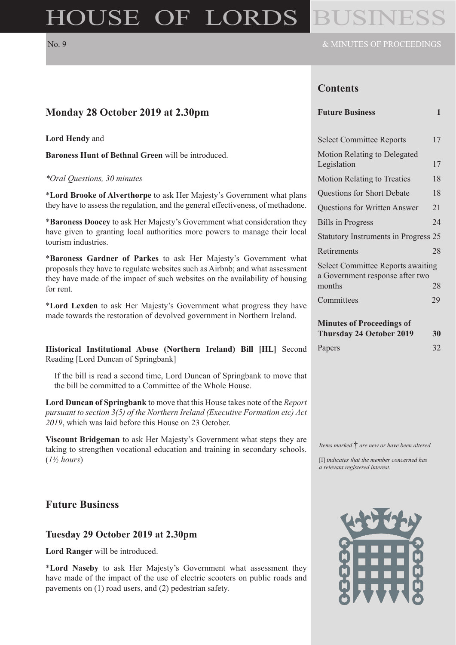# HOUSE OF LORDS

### **Contents**

| Monday 28 October 2019 at 2.30pm                                                                                                                                                                                                              | <b>Future Business</b>                                                                | $\mathbf{1}$    |
|-----------------------------------------------------------------------------------------------------------------------------------------------------------------------------------------------------------------------------------------------|---------------------------------------------------------------------------------------|-----------------|
| <b>Lord Hendy and</b>                                                                                                                                                                                                                         | <b>Select Committee Reports</b>                                                       | 17              |
| Baroness Hunt of Bethnal Green will be introduced.                                                                                                                                                                                            | Motion Relating to Delegated<br>Legislation                                           | 17              |
| *Oral Questions, 30 minutes                                                                                                                                                                                                                   | <b>Motion Relating to Treaties</b>                                                    | 18              |
| *Lord Brooke of Alverthorpe to ask Her Majesty's Government what plans                                                                                                                                                                        | Questions for Short Debate                                                            | 18              |
| they have to assess the regulation, and the general effectiveness, of methadone.                                                                                                                                                              | Questions for Written Answer                                                          | 21              |
| *Baroness Doocey to ask Her Majesty's Government what consideration they                                                                                                                                                                      | <b>Bills</b> in Progress                                                              | 24              |
| have given to granting local authorities more powers to manage their local<br>tourism industries.                                                                                                                                             | Statutory Instruments in Progress 25                                                  |                 |
|                                                                                                                                                                                                                                               | Retirements                                                                           | 28              |
| *Baroness Gardner of Parkes to ask Her Majesty's Government what<br>proposals they have to regulate websites such as Airbnb; and what assessment<br>they have made of the impact of such websites on the availability of housing<br>for rent. | <b>Select Committee Reports awaiting</b><br>a Government response after two<br>months | 28              |
| *Lord Lexden to ask Her Majesty's Government what progress they have<br>made towards the restoration of devolved government in Northern Ireland.                                                                                              | Committees<br><b>Minutes of Proceedings of</b><br><b>Thursday 24 October 2019</b>     | 29<br><b>30</b> |
| Historical Institutional Abuse (Northern Ireland) Bill [HL] Second<br>Reading [Lord Duncan of Springbank]                                                                                                                                     | Papers                                                                                | 32              |

If the bill is read a second time, Lord Duncan of Springbank to move that the bill be committed to a Committee of the Whole House.

**Lord Duncan of Springbank** to move that this House takes note of the *Report pursuant to section 3(5) of the Northern Ireland (Executive Formation etc) Act 2019*, which was laid before this House on 23 October.

**Viscount Bridgeman** to ask Her Majesty's Government what steps they are taking to strengthen vocational education and training in secondary schools. (*1½ hours*)

### **Future Business**

#### **Tuesday 29 October 2019 at 2.30pm**

**Lord Ranger** will be introduced.

\***Lord Naseby** to ask Her Majesty's Government what assessment they have made of the impact of the use of electric scooters on public roads and pavements on (1) road users, and (2) pedestrian safety.



*Items marked* † *are new or have been altered* [I] *indicates that the member concerned has* 

*a relevant registered interest.*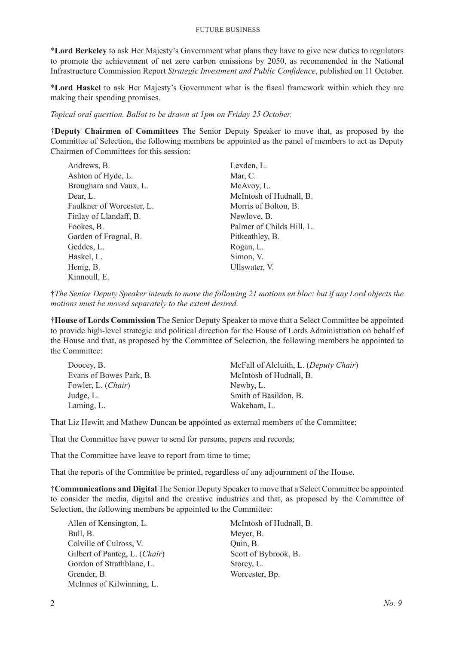\***Lord Berkeley** to ask Her Majesty's Government what plans they have to give new duties to regulators to promote the achievement of net zero carbon emissions by 2050, as recommended in the National Infrastructure Commission Report *Strategic Investment and Public Confidence*, published on 11 October.

\***Lord Haskel** to ask Her Majesty's Government what is the fiscal framework within which they are making their spending promises.

*Topical oral question. Ballot to be drawn at 1pm on Friday 25 October.*

†**Deputy Chairmen of Committees** The Senior Deputy Speaker to move that, as proposed by the Committee of Selection, the following members be appointed as the panel of members to act as Deputy Chairmen of Committees for this session:

| Andrews, B.               | Lexden, L.                |
|---------------------------|---------------------------|
| Ashton of Hyde, L.        | Mar, C.                   |
| Brougham and Vaux, L.     | McAvoy, L.                |
| Dear, L.                  | McIntosh of Hudnall, B.   |
| Faulkner of Worcester, L. | Morris of Bolton, B.      |
| Finlay of Llandaff, B.    | Newlove, B.               |
| Fookes, B.                | Palmer of Childs Hill, L. |
| Garden of Frognal, B.     | Pitkeathley, B.           |
| Geddes, L.                | Rogan, L.                 |
| Haskel, L.                | Simon, V.                 |
| Henig, B.                 | Ullswater, V.             |
| Kinnoull, E.              |                           |

†*The Senior Deputy Speaker intends to move the following 21 motions en bloc: but if any Lord objects the motions must be moved separately to the extent desired.*

†**House of Lords Commission** The Senior Deputy Speaker to move that a Select Committee be appointed to provide high-level strategic and political direction for the House of Lords Administration on behalf of the House and that, as proposed by the Committee of Selection, the following members be appointed to the Committee:

| Doocey, B.              | McFall of Alcluith, L. (Deputy Chair) |
|-------------------------|---------------------------------------|
| Evans of Bowes Park, B. | McIntosh of Hudnall, B.               |
| Fowler, L. (Chair)      | Newby, L.                             |
| Judge, L.               | Smith of Basildon, B.                 |
| Laming, L.              | Wakeham, L.                           |

That Liz Hewitt and Mathew Duncan be appointed as external members of the Committee;

That the Committee have power to send for persons, papers and records;

That the Committee have leave to report from time to time;

That the reports of the Committee be printed, regardless of any adjournment of the House.

†**Communications and Digital** The Senior Deputy Speaker to move that a Select Committee be appointed to consider the media, digital and the creative industries and that, as proposed by the Committee of Selection, the following members be appointed to the Committee:

Allen of Kensington, L. Bull, B. Colville of Culross, V. Gilbert of Panteg, L. (*Chair*) Gordon of Strathblane, L. Grender, B. McInnes of Kilwinning, L.

McIntosh of Hudnall, B. Meyer, B. Quin, B. Scott of Bybrook, B. Storey, L. Worcester, Bp.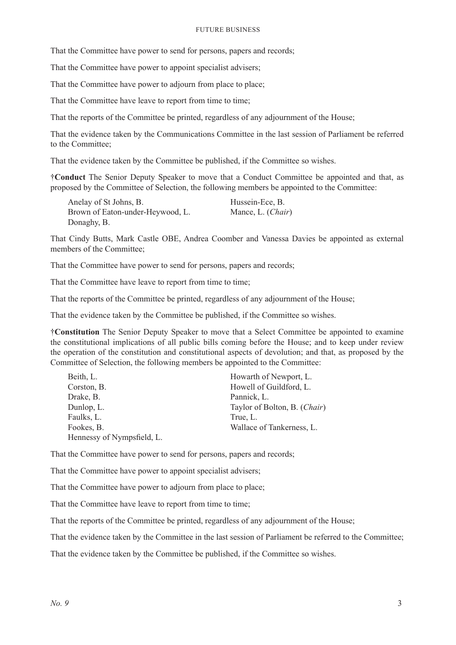That the Committee have power to send for persons, papers and records;

That the Committee have power to appoint specialist advisers;

That the Committee have power to adjourn from place to place:

That the Committee have leave to report from time to time;

That the reports of the Committee be printed, regardless of any adjournment of the House;

That the evidence taken by the Communications Committee in the last session of Parliament be referred to the Committee;

That the evidence taken by the Committee be published, if the Committee so wishes.

†**Conduct** The Senior Deputy Speaker to move that a Conduct Committee be appointed and that, as proposed by the Committee of Selection, the following members be appointed to the Committee:

Anelay of St Johns, B. Brown of Eaton-under-Heywood, L. Donaghy, B. Hussein-Ece, B. Mance, L. (*Chair*)

That Cindy Butts, Mark Castle OBE, Andrea Coomber and Vanessa Davies be appointed as external members of the Committee;

That the Committee have power to send for persons, papers and records;

That the Committee have leave to report from time to time;

That the reports of the Committee be printed, regardless of any adjournment of the House;

That the evidence taken by the Committee be published, if the Committee so wishes.

†**Constitution** The Senior Deputy Speaker to move that a Select Committee be appointed to examine the constitutional implications of all public bills coming before the House; and to keep under review the operation of the constitution and constitutional aspects of devolution; and that, as proposed by the Committee of Selection, the following members be appointed to the Committee:

| Beith, L.                  | Howarth of Newport, L.       |
|----------------------------|------------------------------|
| Corston, B.                | Howell of Guildford, L.      |
| Drake, B.                  | Pannick, L.                  |
| Dunlop, L.                 | Taylor of Bolton, B. (Chair) |
| Faulks, L.                 | True, L.                     |
| Fookes, B.                 | Wallace of Tankerness, L.    |
| Hennessy of Nympsfield, L. |                              |
|                            |                              |

That the Committee have power to send for persons, papers and records;

That the Committee have power to appoint specialist advisers;

That the Committee have power to adjourn from place to place;

That the Committee have leave to report from time to time;

That the reports of the Committee be printed, regardless of any adjournment of the House;

That the evidence taken by the Committee in the last session of Parliament be referred to the Committee;

That the evidence taken by the Committee be published, if the Committee so wishes.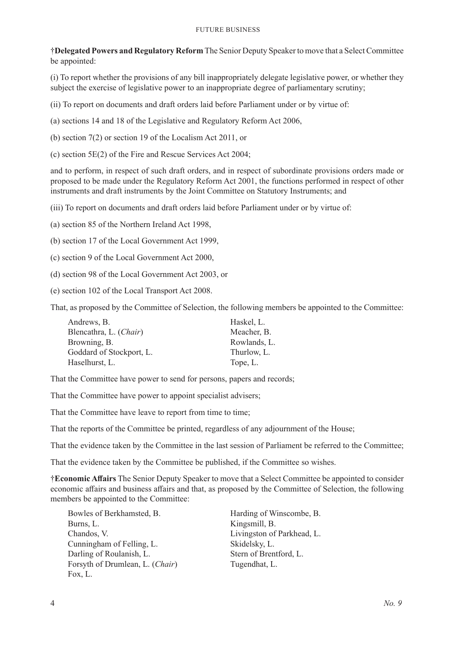†**Delegated Powers and Regulatory Reform** The Senior Deputy Speaker to move that a Select Committee be appointed:

(i) To report whether the provisions of any bill inappropriately delegate legislative power, or whether they subject the exercise of legislative power to an inappropriate degree of parliamentary scrutiny;

(ii) To report on documents and draft orders laid before Parliament under or by virtue of:

(a) sections 14 and 18 of the Legislative and Regulatory Reform Act 2006,

(b) section 7(2) or section 19 of the Localism Act 2011, or

(c) section 5E(2) of the Fire and Rescue Services Act 2004;

and to perform, in respect of such draft orders, and in respect of subordinate provisions orders made or proposed to be made under the Regulatory Reform Act 2001, the functions performed in respect of other instruments and draft instruments by the Joint Committee on Statutory Instruments; and

(iii) To report on documents and draft orders laid before Parliament under or by virtue of:

(a) section 85 of the Northern Ireland Act 1998,

(b) section 17 of the Local Government Act 1999,

(c) section 9 of the Local Government Act 2000,

- (d) section 98 of the Local Government Act 2003, or
- (e) section 102 of the Local Transport Act 2008.

That, as proposed by the Committee of Selection, the following members be appointed to the Committee:

| Andrews, B.              | Haskel, L.   |
|--------------------------|--------------|
| Blencathra, L. (Chair)   | Meacher, B.  |
| Browning, B.             | Rowlands, L. |
| Goddard of Stockport, L. | Thurlow, L.  |
| Haselhurst, L.           | Tope, L.     |

That the Committee have power to send for persons, papers and records;

That the Committee have power to appoint specialist advisers;

That the Committee have leave to report from time to time;

That the reports of the Committee be printed, regardless of any adjournment of the House;

That the evidence taken by the Committee in the last session of Parliament be referred to the Committee;

That the evidence taken by the Committee be published, if the Committee so wishes.

†**Economic Affairs** The Senior Deputy Speaker to move that a Select Committee be appointed to consider economic affairs and business affairs and that, as proposed by the Committee of Selection, the following members be appointed to the Committee:

Bowles of Berkhamsted, B. Burns, L. Chandos, V. Cunningham of Felling, L. Darling of Roulanish, L. Forsyth of Drumlean, L. (*Chair*) Fox, L.

Harding of Winscombe, B. Kingsmill, B. Livingston of Parkhead, L. Skidelsky, L. Stern of Brentford, L. Tugendhat, L.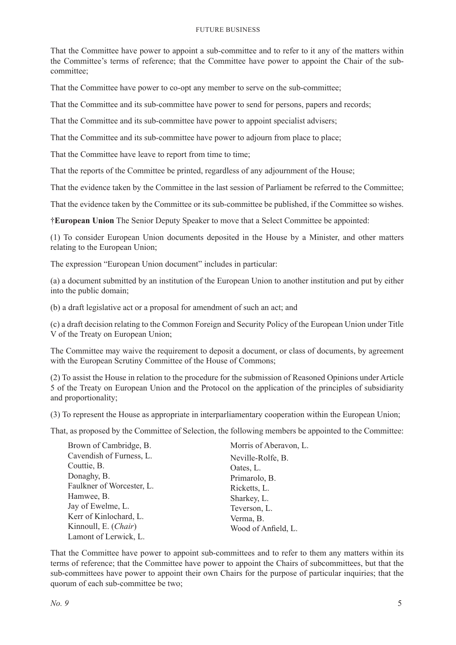That the Committee have power to appoint a sub-committee and to refer to it any of the matters within the Committee's terms of reference; that the Committee have power to appoint the Chair of the subcommittee;

That the Committee have power to co-opt any member to serve on the sub-committee;

That the Committee and its sub-committee have power to send for persons, papers and records;

That the Committee and its sub-committee have power to appoint specialist advisers;

That the Committee and its sub-committee have power to adjourn from place to place;

That the Committee have leave to report from time to time;

That the reports of the Committee be printed, regardless of any adjournment of the House;

That the evidence taken by the Committee in the last session of Parliament be referred to the Committee;

That the evidence taken by the Committee or its sub-committee be published, if the Committee so wishes.

†**European Union** The Senior Deputy Speaker to move that a Select Committee be appointed:

(1) To consider European Union documents deposited in the House by a Minister, and other matters relating to the European Union;

The expression "European Union document" includes in particular:

(a) a document submitted by an institution of the European Union to another institution and put by either into the public domain;

(b) a draft legislative act or a proposal for amendment of such an act; and

(c) a draft decision relating to the Common Foreign and Security Policy of the European Union under Title V of the Treaty on European Union;

The Committee may waive the requirement to deposit a document, or class of documents, by agreement with the European Scrutiny Committee of the House of Commons;

(2) To assist the House in relation to the procedure for the submission of Reasoned Opinions under Article 5 of the Treaty on European Union and the Protocol on the application of the principles of subsidiarity and proportionality;

(3) To represent the House as appropriate in interparliamentary cooperation within the European Union;

That, as proposed by the Committee of Selection, the following members be appointed to the Committee:

| Brown of Cambridge, B.    | Morris of Aberavon, L. |
|---------------------------|------------------------|
| Cavendish of Furness, L.  | Neville-Rolfe, B.      |
| Couttie, B.               | Oates, L.              |
| Donaghy, B.               | Primarolo, B.          |
| Faulkner of Worcester, L. | Ricketts, L.           |
| Hamwee, B.                | Sharkey, L.            |
| Jay of Ewelme, L.         | Teverson, L.           |
| Kerr of Kinlochard, L.    | Verma, B.              |
| Kinnoull, E. (Chair)      | Wood of Anfield, L.    |
| Lamont of Lerwick, L.     |                        |

That the Committee have power to appoint sub-committees and to refer to them any matters within its terms of reference; that the Committee have power to appoint the Chairs of subcommittees, but that the sub-committees have power to appoint their own Chairs for the purpose of particular inquiries; that the quorum of each sub-committee be two;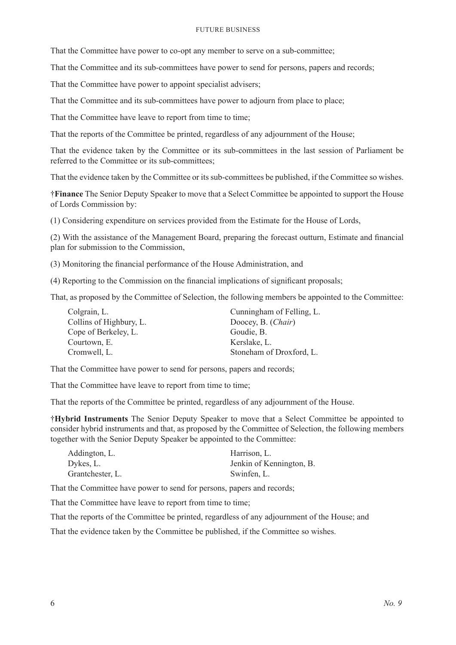That the Committee have power to co-opt any member to serve on a sub-committee;

That the Committee and its sub-committees have power to send for persons, papers and records;

That the Committee have power to appoint specialist advisers;

That the Committee and its sub-committees have power to adjourn from place to place;

That the Committee have leave to report from time to time;

That the reports of the Committee be printed, regardless of any adjournment of the House;

That the evidence taken by the Committee or its sub-committees in the last session of Parliament be referred to the Committee or its sub-committees;

That the evidence taken by the Committee or its sub-committees be published, if the Committee so wishes.

†**Finance** The Senior Deputy Speaker to move that a Select Committee be appointed to support the House of Lords Commission by:

(1) Considering expenditure on services provided from the Estimate for the House of Lords,

(2) With the assistance of the Management Board, preparing the forecast outturn, Estimate and financial plan for submission to the Commission,

(3) Monitoring the financial performance of the House Administration, and

(4) Reporting to the Commission on the financial implications of significant proposals;

That, as proposed by the Committee of Selection, the following members be appointed to the Committee:

| Cunningham of Felling, L. |
|---------------------------|
| Doocey, B. (Chair)        |
| Goudie, B.                |
| Kerslake, L.              |
| Stoneham of Droxford, L.  |
|                           |

That the Committee have power to send for persons, papers and records;

That the Committee have leave to report from time to time;

That the reports of the Committee be printed, regardless of any adjournment of the House.

†**Hybrid Instruments** The Senior Deputy Speaker to move that a Select Committee be appointed to consider hybrid instruments and that, as proposed by the Committee of Selection, the following members together with the Senior Deputy Speaker be appointed to the Committee:

| Addington, L.    | Harrison, L.             |
|------------------|--------------------------|
| Dykes, L.        | Jenkin of Kennington, B. |
| Grantchester, L. | Swinfen, L.              |

That the Committee have power to send for persons, papers and records;

That the Committee have leave to report from time to time;

That the reports of the Committee be printed, regardless of any adjournment of the House; and

That the evidence taken by the Committee be published, if the Committee so wishes.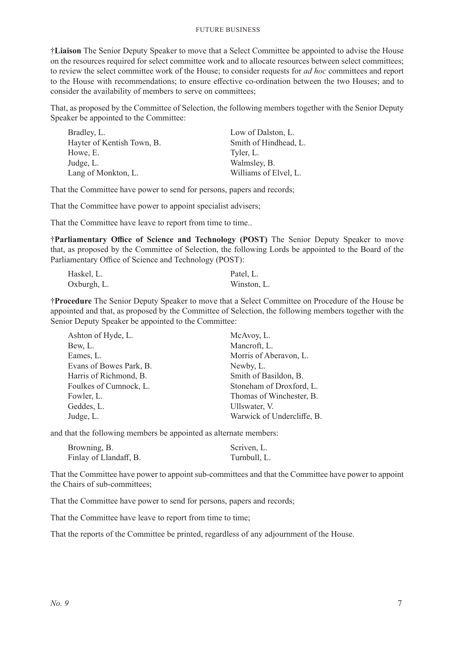†**Liaison** The Senior Deputy Speaker to move that a Select Committee be appointed to advise the House on the resources required for select committee work and to allocate resources between select committees; to review the select committee work of the House; to consider requests for *ad hoc* committees and report to the House with recommendations; to ensure effective co-ordination between the two Houses; and to consider the availability of members to serve on committees;

That, as proposed by the Committee of Selection, the following members together with the Senior Deputy Speaker be appointed to the Committee:

| Bradley, L.                | Low of Dalston, L.    |
|----------------------------|-----------------------|
| Hayter of Kentish Town, B. | Smith of Hindhead, L. |
| Howe, E.                   | Tyler, L.             |
| Judge, L.                  | Walmsley, B.          |
| Lang of Monkton, L.        | Williams of Elvel, L. |

That the Committee have power to send for persons, papers and records;

That the Committee have power to appoint specialist advisers;

That the Committee have leave to report from time to time..

†**Parliamentary Office of Science and Technology (POST)** The Senior Deputy Speaker to move that, as proposed by the Committee of Selection, the following Lords be appointed to the Board of the Parliamentary Office of Science and Technology (POST):

| Haskel, L.  | Patel, L.   |
|-------------|-------------|
| Oxburgh, L. | Winston, L. |

†**Procedure** The Senior Deputy Speaker to move that a Select Committee on Procedure of the House be appointed and that, as proposed by the Committee of Selection, the following members together with the Senior Deputy Speaker be appointed to the Committee:

| McAvoy, L.                 |
|----------------------------|
| Mancroft, L.               |
| Morris of Aberavon, L.     |
| Newby, L.                  |
| Smith of Basildon, B.      |
| Stoneham of Droxford, L.   |
| Thomas of Winchester, B.   |
| Ullswater, V.              |
| Warwick of Undercliffe, B. |
|                            |

and that the following members be appointed as alternate members:

| Browning, B.           | Scriven, L.  |
|------------------------|--------------|
| Finlay of Llandaff, B. | Turnbull, L. |

That the Committee have power to appoint sub-committees and that the Committee have power to appoint the Chairs of sub-committees;

That the Committee have power to send for persons, papers and records;

That the Committee have leave to report from time to time;

That the reports of the Committee be printed, regardless of any adjournment of the House.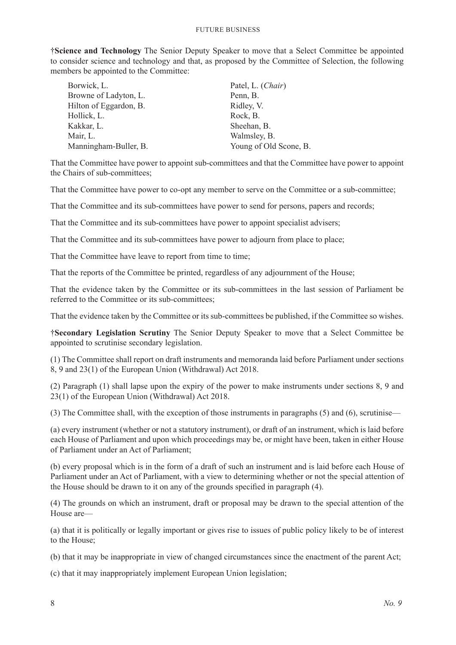†**Science and Technology** The Senior Deputy Speaker to move that a Select Committee be appointed to consider science and technology and that, as proposed by the Committee of Selection, the following members be appointed to the Committee:

| Borwick, L.            | Patel, L. (Chair)      |
|------------------------|------------------------|
| Browne of Ladyton, L.  | Penn, B.               |
| Hilton of Eggardon, B. | Ridley, V.             |
| Hollick, L.            | Rock, B.               |
| Kakkar, L.             | Sheehan, B.            |
| Mair, L.               | Walmsley, B.           |
| Manningham-Buller, B.  | Young of Old Scone, B. |

That the Committee have power to appoint sub-committees and that the Committee have power to appoint the Chairs of sub-committees;

That the Committee have power to co-opt any member to serve on the Committee or a sub-committee;

That the Committee and its sub-committees have power to send for persons, papers and records;

That the Committee and its sub-committees have power to appoint specialist advisers;

That the Committee and its sub-committees have power to adjourn from place to place;

That the Committee have leave to report from time to time;

That the reports of the Committee be printed, regardless of any adjournment of the House;

That the evidence taken by the Committee or its sub-committees in the last session of Parliament be referred to the Committee or its sub-committees;

That the evidence taken by the Committee or its sub-committees be published, if the Committee so wishes.

†**Secondary Legislation Scrutiny** The Senior Deputy Speaker to move that a Select Committee be appointed to scrutinise secondary legislation.

(1) The Committee shall report on draft instruments and memoranda laid before Parliament under sections 8, 9 and 23(1) of the European Union (Withdrawal) Act 2018.

(2) Paragraph (1) shall lapse upon the expiry of the power to make instruments under sections 8, 9 and 23(1) of the European Union (Withdrawal) Act 2018.

(3) The Committee shall, with the exception of those instruments in paragraphs (5) and (6), scrutinise—

(a) every instrument (whether or not a statutory instrument), or draft of an instrument, which is laid before each House of Parliament and upon which proceedings may be, or might have been, taken in either House of Parliament under an Act of Parliament;

(b) every proposal which is in the form of a draft of such an instrument and is laid before each House of Parliament under an Act of Parliament, with a view to determining whether or not the special attention of the House should be drawn to it on any of the grounds specified in paragraph (4).

(4) The grounds on which an instrument, draft or proposal may be drawn to the special attention of the House are—

(a) that it is politically or legally important or gives rise to issues of public policy likely to be of interest to the House;

(b) that it may be inappropriate in view of changed circumstances since the enactment of the parent Act;

(c) that it may inappropriately implement European Union legislation;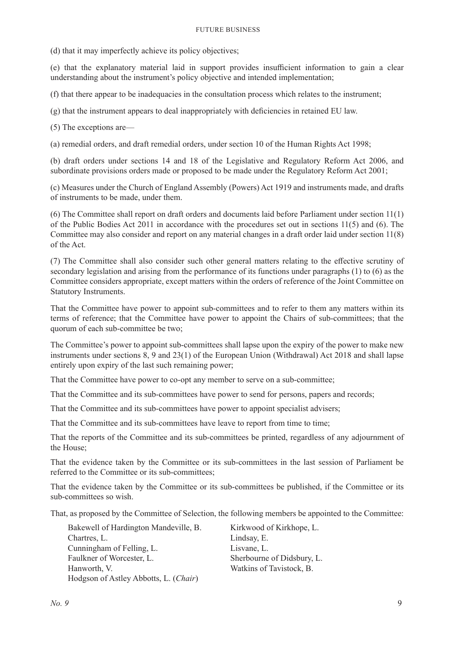(d) that it may imperfectly achieve its policy objectives;

(e) that the explanatory material laid in support provides insufficient information to gain a clear understanding about the instrument's policy objective and intended implementation;

(f) that there appear to be inadequacies in the consultation process which relates to the instrument;

(g) that the instrument appears to deal inappropriately with deficiencies in retained EU law.

(5) The exceptions are—

(a) remedial orders, and draft remedial orders, under section 10 of the Human Rights Act 1998;

(b) draft orders under sections 14 and 18 of the Legislative and Regulatory Reform Act 2006, and subordinate provisions orders made or proposed to be made under the Regulatory Reform Act 2001;

(c) Measures under the Church of England Assembly (Powers) Act 1919 and instruments made, and drafts of instruments to be made, under them.

(6) The Committee shall report on draft orders and documents laid before Parliament under section 11(1) of the Public Bodies Act 2011 in accordance with the procedures set out in sections 11(5) and (6). The Committee may also consider and report on any material changes in a draft order laid under section 11(8) of the Act.

(7) The Committee shall also consider such other general matters relating to the effective scrutiny of secondary legislation and arising from the performance of its functions under paragraphs (1) to (6) as the Committee considers appropriate, except matters within the orders of reference of the Joint Committee on Statutory Instruments.

That the Committee have power to appoint sub-committees and to refer to them any matters within its terms of reference; that the Committee have power to appoint the Chairs of sub-committees; that the quorum of each sub-committee be two;

The Committee's power to appoint sub-committees shall lapse upon the expiry of the power to make new instruments under sections 8, 9 and 23(1) of the European Union (Withdrawal) Act 2018 and shall lapse entirely upon expiry of the last such remaining power;

That the Committee have power to co-opt any member to serve on a sub-committee;

That the Committee and its sub-committees have power to send for persons, papers and records;

That the Committee and its sub-committees have power to appoint specialist advisers;

That the Committee and its sub-committees have leave to report from time to time;

That the reports of the Committee and its sub-committees be printed, regardless of any adjournment of the House;

That the evidence taken by the Committee or its sub-committees in the last session of Parliament be referred to the Committee or its sub-committees;

That the evidence taken by the Committee or its sub-committees be published, if the Committee or its sub-committees so wish.

That, as proposed by the Committee of Selection, the following members be appointed to the Committee:

| Bakewell of Hardington Mandeville, B. | Kirkwood of Kirkhope, L.   |
|---------------------------------------|----------------------------|
| Chartres, L.                          | Lindsay, E.                |
| Cunningham of Felling, L.             | Lisvane, L.                |
| Faulkner of Worcester, L.             | Sherbourne of Didsbury, L. |
| Hanworth, V.                          | Watkins of Tavistock, B.   |
| Hodgson of Astley Abbotts, L. (Chair) |                            |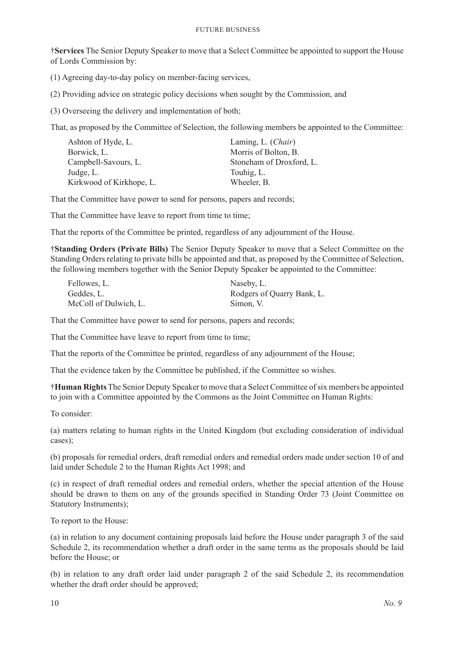†**Services** The Senior Deputy Speaker to move that a Select Committee be appointed to support the House of Lords Commission by:

(1) Agreeing day-to-day policy on member-facing services,

(2) Providing advice on strategic policy decisions when sought by the Commission, and

(3) Overseeing the delivery and implementation of both;

That, as proposed by the Committee of Selection, the following members be appointed to the Committee:

| Ashton of Hyde, L.       | Laming, L. (Chair)       |
|--------------------------|--------------------------|
| Borwick, L.              | Morris of Bolton, B.     |
| Campbell-Savours, L.     | Stoneham of Droxford, L. |
| Judge, L.                | Touhig, L.               |
| Kirkwood of Kirkhope, L. | Wheeler, B.              |

That the Committee have power to send for persons, papers and records;

That the Committee have leave to report from time to time;

That the reports of the Committee be printed, regardless of any adjournment of the House.

†**Standing Orders (Private Bills)** The Senior Deputy Speaker to move that a Select Committee on the Standing Orders relating to private bills be appointed and that, as proposed by the Committee of Selection, the following members together with the Senior Deputy Speaker be appointed to the Committee:

| Fellowes, L.          | Naseby, L.                 |
|-----------------------|----------------------------|
| Geddes, L.            | Rodgers of Quarry Bank, L. |
| McColl of Dulwich, L. | Simon, V.                  |

That the Committee have power to send for persons, papers and records;

That the Committee have leave to report from time to time;

That the reports of the Committee be printed, regardless of any adjournment of the House;

That the evidence taken by the Committee be published, if the Committee so wishes.

†**Human Rights** The Senior Deputy Speaker to move that a Select Committee of six members be appointed to join with a Committee appointed by the Commons as the Joint Committee on Human Rights:

To consider:

(a) matters relating to human rights in the United Kingdom (but excluding consideration of individual cases);

(b) proposals for remedial orders, draft remedial orders and remedial orders made under section 10 of and laid under Schedule 2 to the Human Rights Act 1998; and

(c) in respect of draft remedial orders and remedial orders, whether the special attention of the House should be drawn to them on any of the grounds specified in Standing Order 73 (Joint Committee on Statutory Instruments);

To report to the House:

(a) in relation to any document containing proposals laid before the House under paragraph 3 of the said Schedule 2, its recommendation whether a draft order in the same terms as the proposals should be laid before the House; or

(b) in relation to any draft order laid under paragraph 2 of the said Schedule 2, its recommendation whether the draft order should be approved;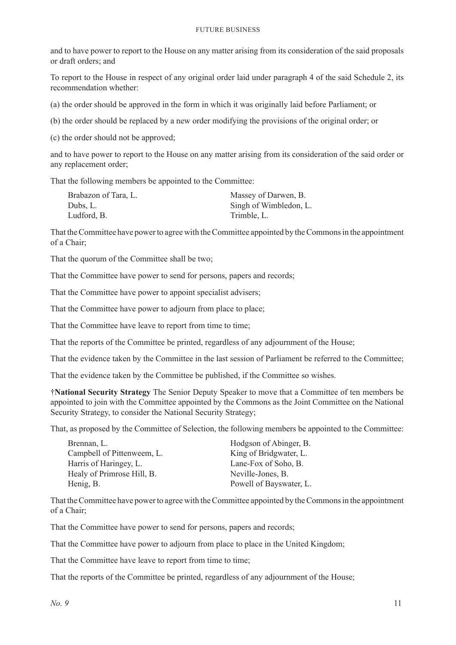and to have power to report to the House on any matter arising from its consideration of the said proposals or draft orders; and

To report to the House in respect of any original order laid under paragraph 4 of the said Schedule 2, its recommendation whether:

(a) the order should be approved in the form in which it was originally laid before Parliament; or

(b) the order should be replaced by a new order modifying the provisions of the original order; or

(c) the order should not be approved;

and to have power to report to the House on any matter arising from its consideration of the said order or any replacement order;

That the following members be appointed to the Committee:

| Massey of Darwen, B.   |
|------------------------|
| Singh of Wimbledon, L. |
| Trimble, L.            |
|                        |

That the Committee have power to agree with the Committee appointed by the Commons in the appointment of a Chair;

That the quorum of the Committee shall be two;

That the Committee have power to send for persons, papers and records;

That the Committee have power to appoint specialist advisers;

That the Committee have power to adjourn from place to place;

That the Committee have leave to report from time to time;

That the reports of the Committee be printed, regardless of any adjournment of the House;

That the evidence taken by the Committee in the last session of Parliament be referred to the Committee;

That the evidence taken by the Committee be published, if the Committee so wishes.

†**National Security Strategy** The Senior Deputy Speaker to move that a Committee of ten members be appointed to join with the Committee appointed by the Commons as the Joint Committee on the National Security Strategy, to consider the National Security Strategy;

That, as proposed by the Committee of Selection, the following members be appointed to the Committee:

| Brennan, L.                | Hodgson of Abinger, B.  |
|----------------------------|-------------------------|
| Campbell of Pittenweem, L. | King of Bridgwater, L.  |
| Harris of Haringey, L.     | Lane-Fox of Soho, B.    |
| Healy of Primrose Hill, B. | Neville-Jones, B.       |
| Henig, B.                  | Powell of Bayswater, L. |

That the Committee have power to agree with the Committee appointed by the Commons in the appointment of a Chair;

That the Committee have power to send for persons, papers and records;

That the Committee have power to adjourn from place to place in the United Kingdom;

That the Committee have leave to report from time to time;

That the reports of the Committee be printed, regardless of any adjournment of the House;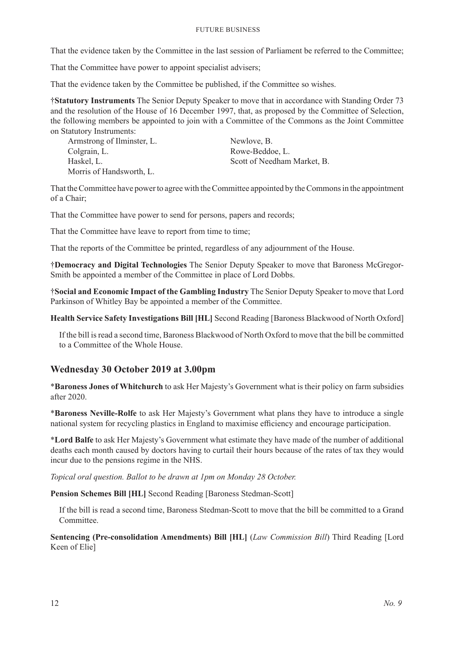That the evidence taken by the Committee in the last session of Parliament be referred to the Committee;

That the Committee have power to appoint specialist advisers;

That the evidence taken by the Committee be published, if the Committee so wishes.

†**Statutory Instruments** The Senior Deputy Speaker to move that in accordance with Standing Order 73 and the resolution of the House of 16 December 1997, that, as proposed by the Committee of Selection, the following members be appointed to join with a Committee of the Commons as the Joint Committee on Statutory Instruments:

Armstrong of Ilminster, L. Colgrain, L. Haskel, L. Morris of Handsworth, L.

Newlove, B. Rowe-Beddoe, L. Scott of Needham Market, B.

That the Committee have power to agree with the Committee appointed by the Commons in the appointment of a Chair;

That the Committee have power to send for persons, papers and records;

That the Committee have leave to report from time to time;

That the reports of the Committee be printed, regardless of any adjournment of the House.

†**Democracy and Digital Technologies** The Senior Deputy Speaker to move that Baroness McGregor-Smith be appointed a member of the Committee in place of Lord Dobbs.

†**Social and Economic Impact of the Gambling Industry** The Senior Deputy Speaker to move that Lord Parkinson of Whitley Bay be appointed a member of the Committee.

**Health Service Safety Investigations Bill [HL]** Second Reading [Baroness Blackwood of North Oxford]

If the bill is read a second time, Baroness Blackwood of North Oxford to move that the bill be committed to a Committee of the Whole House.

#### **Wednesday 30 October 2019 at 3.00pm**

\***Baroness Jones of Whitchurch** to ask Her Majesty's Government what is their policy on farm subsidies after 2020.

\***Baroness Neville-Rolfe** to ask Her Majesty's Government what plans they have to introduce a single national system for recycling plastics in England to maximise efficiency and encourage participation.

\***Lord Balfe** to ask Her Majesty's Government what estimate they have made of the number of additional deaths each month caused by doctors having to curtail their hours because of the rates of tax they would incur due to the pensions regime in the NHS.

*Topical oral question. Ballot to be drawn at 1pm on Monday 28 October.*

**Pension Schemes Bill [HL]** Second Reading [Baroness Stedman-Scott]

If the bill is read a second time, Baroness Stedman-Scott to move that the bill be committed to a Grand Committee.

**Sentencing (Pre-consolidation Amendments) Bill [HL]** (*Law Commission Bill*) Third Reading [Lord Keen of Elie]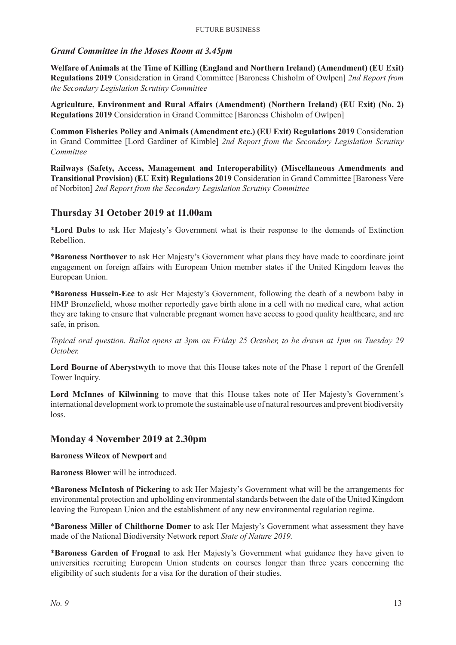#### *Grand Committee in the Moses Room at 3.45pm*

**Welfare of Animals at the Time of Killing (England and Northern Ireland) (Amendment) (EU Exit) Regulations 2019** Consideration in Grand Committee [Baroness Chisholm of Owlpen] *2nd Report from the Secondary Legislation Scrutiny Committee*

**Agriculture, Environment and Rural Affairs (Amendment) (Northern Ireland) (EU Exit) (No. 2) Regulations 2019** Consideration in Grand Committee [Baroness Chisholm of Owlpen]

**Common Fisheries Policy and Animals (Amendment etc.) (EU Exit) Regulations 2019** Consideration in Grand Committee [Lord Gardiner of Kimble] *2nd Report from the Secondary Legislation Scrutiny Committee*

**Railways (Safety, Access, Management and Interoperability) (Miscellaneous Amendments and Transitional Provision) (EU Exit) Regulations 2019** Consideration in Grand Committee [Baroness Vere of Norbiton] *2nd Report from the Secondary Legislation Scrutiny Committee*

### **Thursday 31 October 2019 at 11.00am**

\***Lord Dubs** to ask Her Majesty's Government what is their response to the demands of Extinction Rebellion.

\***Baroness Northover** to ask Her Majesty's Government what plans they have made to coordinate joint engagement on foreign affairs with European Union member states if the United Kingdom leaves the European Union.

\***Baroness Hussein-Ece** to ask Her Majesty's Government, following the death of a newborn baby in HMP Bronzefield, whose mother reportedly gave birth alone in a cell with no medical care, what action they are taking to ensure that vulnerable pregnant women have access to good quality healthcare, and are safe, in prison.

*Topical oral question. Ballot opens at 3pm on Friday 25 October, to be drawn at 1pm on Tuesday 29 October.*

**Lord Bourne of Aberystwyth** to move that this House takes note of the Phase 1 report of the Grenfell Tower Inquiry.

**Lord McInnes of Kilwinning** to move that this House takes note of Her Majesty's Government's international development work to promote the sustainable use of natural resources and prevent biodiversity loss.

#### **Monday 4 November 2019 at 2.30pm**

**Baroness Wilcox of Newport** and

**Baroness Blower** will be introduced.

\***Baroness McIntosh of Pickering** to ask Her Majesty's Government what will be the arrangements for environmental protection and upholding environmental standards between the date of the United Kingdom leaving the European Union and the establishment of any new environmental regulation regime.

\***Baroness Miller of Chilthorne Domer** to ask Her Majesty's Government what assessment they have made of the National Biodiversity Network report *State of Nature 2019.*

\***Baroness Garden of Frognal** to ask Her Majesty's Government what guidance they have given to universities recruiting European Union students on courses longer than three years concerning the eligibility of such students for a visa for the duration of their studies.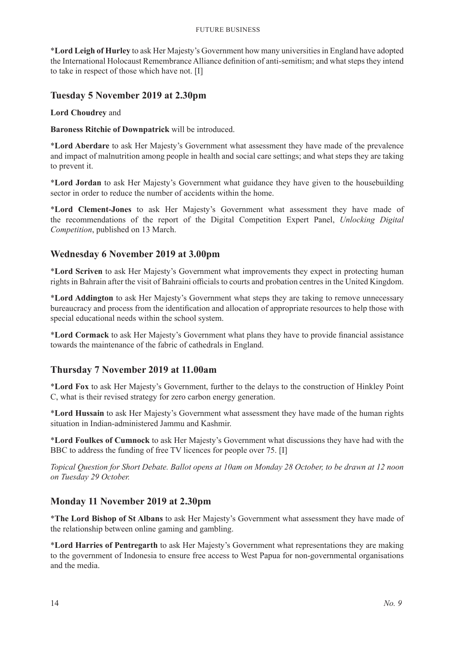\***Lord Leigh of Hurley** to ask Her Majesty's Government how many universities in England have adopted the International Holocaust Remembrance Alliance definition of anti-semitism; and what steps they intend to take in respect of those which have not. [I]

### **Tuesday 5 November 2019 at 2.30pm**

**Lord Choudrey** and

**Baroness Ritchie of Downpatrick** will be introduced.

\***Lord Aberdare** to ask Her Majesty's Government what assessment they have made of the prevalence and impact of malnutrition among people in health and social care settings; and what steps they are taking to prevent it.

\***Lord Jordan** to ask Her Majesty's Government what guidance they have given to the housebuilding sector in order to reduce the number of accidents within the home.

\***Lord Clement-Jones** to ask Her Majesty's Government what assessment they have made of the recommendations of the report of the Digital Competition Expert Panel, *Unlocking Digital Competition*, published on 13 March.

### **Wednesday 6 November 2019 at 3.00pm**

\***Lord Scriven** to ask Her Majesty's Government what improvements they expect in protecting human rights in Bahrain after the visit of Bahraini officials to courts and probation centres in the United Kingdom.

\***Lord Addington** to ask Her Majesty's Government what steps they are taking to remove unnecessary bureaucracy and process from the identification and allocation of appropriate resources to help those with special educational needs within the school system.

\***Lord Cormack** to ask Her Majesty's Government what plans they have to provide financial assistance towards the maintenance of the fabric of cathedrals in England.

### **Thursday 7 November 2019 at 11.00am**

\***Lord Fox** to ask Her Majesty's Government, further to the delays to the construction of Hinkley Point C, what is their revised strategy for zero carbon energy generation.

\***Lord Hussain** to ask Her Majesty's Government what assessment they have made of the human rights situation in Indian-administered Jammu and Kashmir.

\***Lord Foulkes of Cumnock** to ask Her Majesty's Government what discussions they have had with the BBC to address the funding of free TV licences for people over 75. [I]

*Topical Question for Short Debate. Ballot opens at 10am on Monday 28 October, to be drawn at 12 noon on Tuesday 29 October.*

### **Monday 11 November 2019 at 2.30pm**

\***The Lord Bishop of St Albans** to ask Her Majesty's Government what assessment they have made of the relationship between online gaming and gambling.

\***Lord Harries of Pentregarth** to ask Her Majesty's Government what representations they are making to the government of Indonesia to ensure free access to West Papua for non-governmental organisations and the media.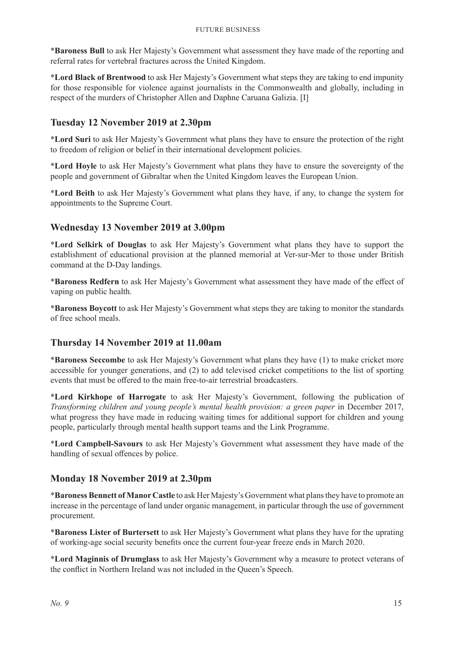\***Baroness Bull** to ask Her Majesty's Government what assessment they have made of the reporting and referral rates for vertebral fractures across the United Kingdom.

\***Lord Black of Brentwood** to ask Her Majesty's Government what steps they are taking to end impunity for those responsible for violence against journalists in the Commonwealth and globally, including in respect of the murders of Christopher Allen and Daphne Caruana Galizia. [I]

### **Tuesday 12 November 2019 at 2.30pm**

\***Lord Suri** to ask Her Majesty's Government what plans they have to ensure the protection of the right to freedom of religion or belief in their international development policies.

\***Lord Hoyle** to ask Her Majesty's Government what plans they have to ensure the sovereignty of the people and government of Gibraltar when the United Kingdom leaves the European Union.

\***Lord Beith** to ask Her Majesty's Government what plans they have, if any, to change the system for appointments to the Supreme Court.

### **Wednesday 13 November 2019 at 3.00pm**

\***Lord Selkirk of Douglas** to ask Her Majesty's Government what plans they have to support the establishment of educational provision at the planned memorial at Ver-sur-Mer to those under British command at the D-Day landings.

\***Baroness Redfern** to ask Her Majesty's Government what assessment they have made of the effect of vaping on public health.

\***Baroness Boycott** to ask Her Majesty's Government what steps they are taking to monitor the standards of free school meals.

### **Thursday 14 November 2019 at 11.00am**

\***Baroness Seccombe** to ask Her Majesty's Government what plans they have (1) to make cricket more accessible for younger generations, and (2) to add televised cricket competitions to the list of sporting events that must be offered to the main free-to-air terrestrial broadcasters.

\***Lord Kirkhope of Harrogate** to ask Her Majesty's Government, following the publication of *Transforming children and young people's mental health provision: a green paper* in December 2017, what progress they have made in reducing waiting times for additional support for children and young people, particularly through mental health support teams and the Link Programme.

\***Lord Campbell-Savours** to ask Her Majesty's Government what assessment they have made of the handling of sexual offences by police.

### **Monday 18 November 2019 at 2.30pm**

\***Baroness Bennett of Manor Castle** to ask Her Majesty's Government what plans they have to promote an increase in the percentage of land under organic management, in particular through the use of government procurement.

\***Baroness Lister of Burtersett** to ask Her Majesty's Government what plans they have for the uprating of working-age social security benefits once the current four-year freeze ends in March 2020.

\***Lord Maginnis of Drumglass** to ask Her Majesty's Government why a measure to protect veterans of the conflict in Northern Ireland was not included in the Queen's Speech.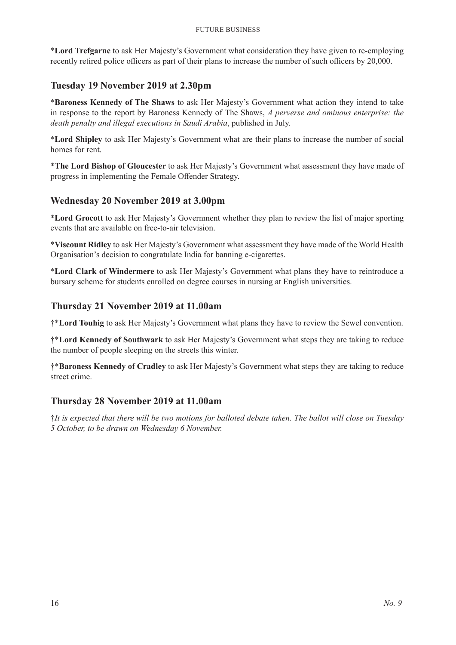\***Lord Trefgarne** to ask Her Majesty's Government what consideration they have given to re-employing recently retired police officers as part of their plans to increase the number of such officers by 20,000.

### **Tuesday 19 November 2019 at 2.30pm**

\***Baroness Kennedy of The Shaws** to ask Her Majesty's Government what action they intend to take in response to the report by Baroness Kennedy of The Shaws, *A perverse and ominous enterprise: the death penalty and illegal executions in Saudi Arabia*, published in July.

\***Lord Shipley** to ask Her Majesty's Government what are their plans to increase the number of social homes for rent.

\***The Lord Bishop of Gloucester** to ask Her Majesty's Government what assessment they have made of progress in implementing the Female Offender Strategy.

### **Wednesday 20 November 2019 at 3.00pm**

\***Lord Grocott** to ask Her Majesty's Government whether they plan to review the list of major sporting events that are available on free-to-air television.

\***Viscount Ridley** to ask Her Majesty's Government what assessment they have made of the World Health Organisation's decision to congratulate India for banning e-cigarettes.

\***Lord Clark of Windermere** to ask Her Majesty's Government what plans they have to reintroduce a bursary scheme for students enrolled on degree courses in nursing at English universities.

#### **Thursday 21 November 2019 at 11.00am**

†\***Lord Touhig** to ask Her Majesty's Government what plans they have to review the Sewel convention.

†\***Lord Kennedy of Southwark** to ask Her Majesty's Government what steps they are taking to reduce the number of people sleeping on the streets this winter.

†\***Baroness Kennedy of Cradley** to ask Her Majesty's Government what steps they are taking to reduce street crime.

#### **Thursday 28 November 2019 at 11.00am**

†*It is expected that there will be two motions for balloted debate taken. The ballot will close on Tuesday 5 October, to be drawn on Wednesday 6 November.*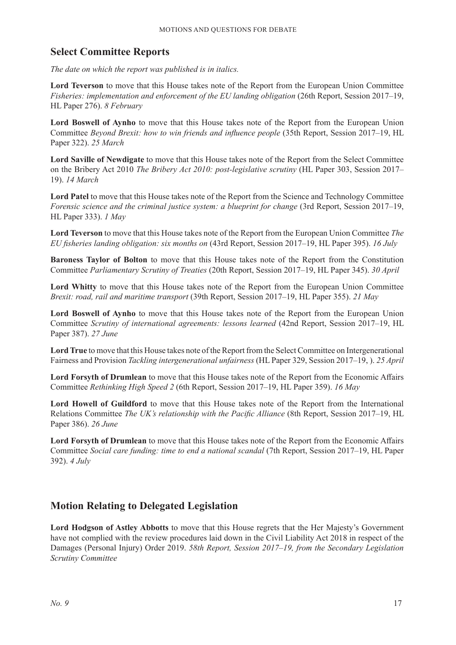### **Select Committee Reports**

*The date on which the report was published is in italics.*

**Lord Teverson** to move that this House takes note of the Report from the European Union Committee *Fisheries: implementation and enforcement of the EU landing obligation* (26th Report, Session 2017–19, HL Paper 276). *8 February*

**Lord Boswell of Aynho** to move that this House takes note of the Report from the European Union Committee *Beyond Brexit: how to win friends and influence people* (35th Report, Session 2017–19, HL Paper 322). *25 March*

**Lord Saville of Newdigate** to move that this House takes note of the Report from the Select Committee on the Bribery Act 2010 *The Bribery Act 2010: post-legislative scrutiny* (HL Paper 303, Session 2017– 19). *14 March*

**Lord Patel** to move that this House takes note of the Report from the Science and Technology Committee *Forensic science and the criminal justice system: a blueprint for change* (3rd Report, Session 2017–19, HL Paper 333). *1 May*

**Lord Teverson** to move that this House takes note of the Report from the European Union Committee *The EU fisheries landing obligation: six months on* (43rd Report, Session 2017–19, HL Paper 395). *16 July*

**Baroness Taylor of Bolton** to move that this House takes note of the Report from the Constitution Committee *Parliamentary Scrutiny of Treaties* (20th Report, Session 2017–19, HL Paper 345). *30 April*

**Lord Whitty** to move that this House takes note of the Report from the European Union Committee *Brexit: road, rail and maritime transport* (39th Report, Session 2017–19, HL Paper 355). *21 May*

**Lord Boswell of Aynho** to move that this House takes note of the Report from the European Union Committee *Scrutiny of international agreements: lessons learned* (42nd Report, Session 2017–19, HL Paper 387). *27 June*

**Lord True** to move that this House takes note of the Report from the Select Committee on Intergenerational Fairness and Provision *Tackling intergenerational unfairness* (HL Paper 329, Session 2017–19, ). *25 April*

**Lord Forsyth of Drumlean** to move that this House takes note of the Report from the Economic Affairs Committee *Rethinking High Speed 2* (6th Report, Session 2017–19, HL Paper 359). *16 May*

**Lord Howell of Guildford** to move that this House takes note of the Report from the International Relations Committee *The UK's relationship with the Pacific Alliance* (8th Report, Session 2017–19, HL Paper 386). *26 June*

**Lord Forsyth of Drumlean** to move that this House takes note of the Report from the Economic Affairs Committee *Social care funding: time to end a national scandal* (7th Report, Session 2017–19, HL Paper 392). *4 July*

### **Motion Relating to Delegated Legislation**

**Lord Hodgson of Astley Abbotts** to move that this House regrets that the Her Majesty's Government have not complied with the review procedures laid down in the Civil Liability Act 2018 in respect of the Damages (Personal Injury) Order 2019. *58th Report, Session 2017–19, from the Secondary Legislation Scrutiny Committee*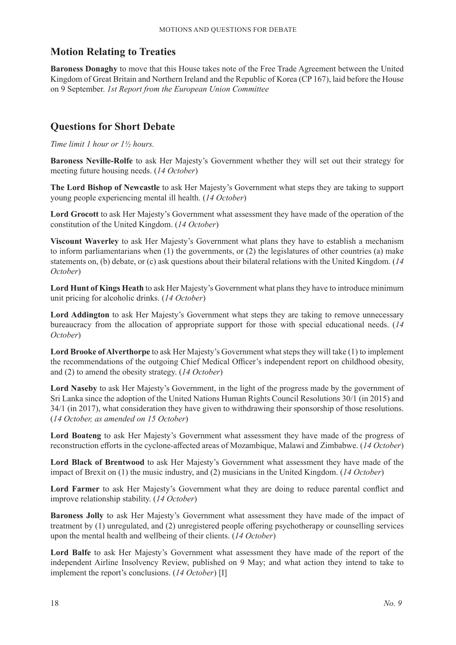### **Motion Relating to Treaties**

**Baroness Donaghy** to move that this House takes note of the Free Trade Agreement between the United Kingdom of Great Britain and Northern Ireland and the Republic of Korea (CP 167), laid before the House on 9 September. *1st Report from the European Union Committee*

### **Questions for Short Debate**

*Time limit 1 hour or 1½ hours.*

**Baroness Neville-Rolfe** to ask Her Majesty's Government whether they will set out their strategy for meeting future housing needs. (*14 October*)

**The Lord Bishop of Newcastle** to ask Her Majesty's Government what steps they are taking to support young people experiencing mental ill health. (*14 October*)

**Lord Grocott** to ask Her Majesty's Government what assessment they have made of the operation of the constitution of the United Kingdom. (*14 October*)

**Viscount Waverley** to ask Her Majesty's Government what plans they have to establish a mechanism to inform parliamentarians when  $(1)$  the governments, or  $(2)$  the legislatures of other countries  $(a)$  make statements on, (b) debate, or (c) ask questions about their bilateral relations with the United Kingdom. (*14 October*)

**Lord Hunt of Kings Heath** to ask Her Majesty's Government what plans they have to introduce minimum unit pricing for alcoholic drinks. (*14 October*)

**Lord Addington** to ask Her Majesty's Government what steps they are taking to remove unnecessary bureaucracy from the allocation of appropriate support for those with special educational needs. (*14 October*)

**Lord Brooke of Alverthorpe** to ask Her Majesty's Government what steps they will take (1) to implement the recommendations of the outgoing Chief Medical Officer's independent report on childhood obesity, and (2) to amend the obesity strategy. (*14 October*)

**Lord Naseby** to ask Her Majesty's Government, in the light of the progress made by the government of Sri Lanka since the adoption of the United Nations Human Rights Council Resolutions 30/1 (in 2015) and 34/1 (in 2017), what consideration they have given to withdrawing their sponsorship of those resolutions. (*14 October, as amended on 15 October*)

**Lord Boateng** to ask Her Majesty's Government what assessment they have made of the progress of reconstruction efforts in the cyclone-affected areas of Mozambique, Malawi and Zimbabwe. (*14 October*)

**Lord Black of Brentwood** to ask Her Majesty's Government what assessment they have made of the impact of Brexit on (1) the music industry, and (2) musicians in the United Kingdom. (*14 October*)

**Lord Farmer** to ask Her Majesty's Government what they are doing to reduce parental conflict and improve relationship stability. (*14 October*)

**Baroness Jolly** to ask Her Majesty's Government what assessment they have made of the impact of treatment by (1) unregulated, and (2) unregistered people offering psychotherapy or counselling services upon the mental health and wellbeing of their clients. (*14 October*)

**Lord Balfe** to ask Her Majesty's Government what assessment they have made of the report of the independent Airline Insolvency Review, published on 9 May; and what action they intend to take to implement the report's conclusions. (*14 October*) [I]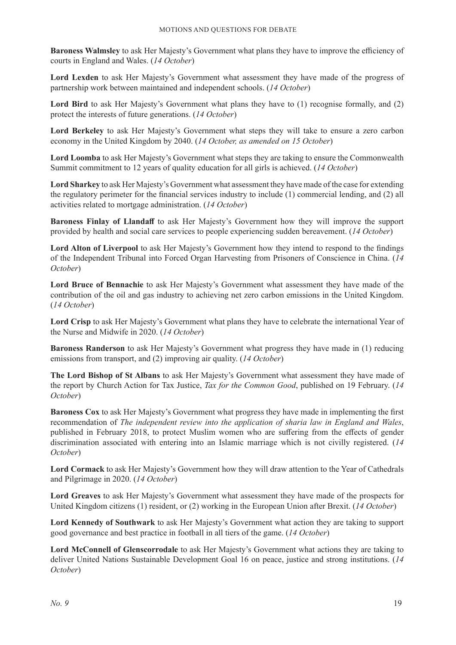**Baroness Walmsley** to ask Her Majesty's Government what plans they have to improve the efficiency of courts in England and Wales. (*14 October*)

**Lord Lexden** to ask Her Majesty's Government what assessment they have made of the progress of partnership work between maintained and independent schools. (*14 October*)

Lord Bird to ask Her Majesty's Government what plans they have to (1) recognise formally, and (2) protect the interests of future generations. (*14 October*)

**Lord Berkeley** to ask Her Majesty's Government what steps they will take to ensure a zero carbon economy in the United Kingdom by 2040. (*14 October, as amended on 15 October*)

**Lord Loomba** to ask Her Majesty's Government what steps they are taking to ensure the Commonwealth Summit commitment to 12 years of quality education for all girls is achieved. (*14 October*)

**Lord Sharkey** to ask Her Majesty's Government what assessment they have made of the case for extending the regulatory perimeter for the financial services industry to include (1) commercial lending, and (2) all activities related to mortgage administration. (*14 October*)

**Baroness Finlay of Llandaff** to ask Her Majesty's Government how they will improve the support provided by health and social care services to people experiencing sudden bereavement. (*14 October*)

**Lord Alton of Liverpool** to ask Her Majesty's Government how they intend to respond to the findings of the Independent Tribunal into Forced Organ Harvesting from Prisoners of Conscience in China. (*14 October*)

**Lord Bruce of Bennachie** to ask Her Majesty's Government what assessment they have made of the contribution of the oil and gas industry to achieving net zero carbon emissions in the United Kingdom. (*14 October*)

**Lord Crisp** to ask Her Majesty's Government what plans they have to celebrate the international Year of the Nurse and Midwife in 2020. (*14 October*)

**Baroness Randerson** to ask Her Majesty's Government what progress they have made in (1) reducing emissions from transport, and (2) improving air quality. (*14 October*)

**The Lord Bishop of St Albans** to ask Her Majesty's Government what assessment they have made of the report by Church Action for Tax Justice, *Tax for the Common Good*, published on 19 February. (*14 October*)

**Baroness Cox** to ask Her Majesty's Government what progress they have made in implementing the first recommendation of *The independent review into the application of sharia law in England and Wales*, published in February 2018, to protect Muslim women who are suffering from the effects of gender discrimination associated with entering into an Islamic marriage which is not civilly registered. (*14 October*)

**Lord Cormack** to ask Her Majesty's Government how they will draw attention to the Year of Cathedrals and Pilgrimage in 2020. (*14 October*)

**Lord Greaves** to ask Her Majesty's Government what assessment they have made of the prospects for United Kingdom citizens (1) resident, or (2) working in the European Union after Brexit. (*14 October*)

**Lord Kennedy of Southwark** to ask Her Majesty's Government what action they are taking to support good governance and best practice in football in all tiers of the game. (*14 October*)

**Lord McConnell of Glenscorrodale** to ask Her Majesty's Government what actions they are taking to deliver United Nations Sustainable Development Goal 16 on peace, justice and strong institutions. (*14 October*)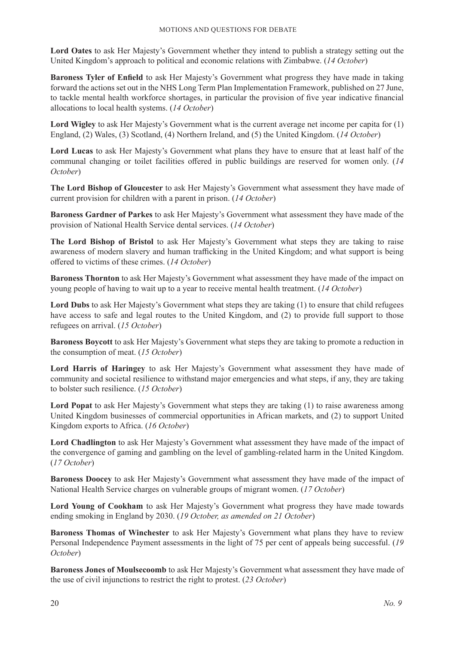**Lord Oates** to ask Her Majesty's Government whether they intend to publish a strategy setting out the United Kingdom's approach to political and economic relations with Zimbabwe. (*14 October*)

**Baroness Tyler of Enfield** to ask Her Majesty's Government what progress they have made in taking forward the actions set out in the NHS Long Term Plan Implementation Framework, published on 27 June, to tackle mental health workforce shortages, in particular the provision of five year indicative financial allocations to local health systems. (*14 October*)

**Lord Wigley** to ask Her Majesty's Government what is the current average net income per capita for (1) England, (2) Wales, (3) Scotland, (4) Northern Ireland, and (5) the United Kingdom. (*14 October*)

**Lord Lucas** to ask Her Majesty's Government what plans they have to ensure that at least half of the communal changing or toilet facilities offered in public buildings are reserved for women only. (*14 October*)

**The Lord Bishop of Gloucester** to ask Her Majesty's Government what assessment they have made of current provision for children with a parent in prison. (*14 October*)

**Baroness Gardner of Parkes** to ask Her Majesty's Government what assessment they have made of the provision of National Health Service dental services. (*14 October*)

**The Lord Bishop of Bristol** to ask Her Majesty's Government what steps they are taking to raise awareness of modern slavery and human trafficking in the United Kingdom; and what support is being offered to victims of these crimes. (*14 October*)

**Baroness Thornton** to ask Her Majesty's Government what assessment they have made of the impact on young people of having to wait up to a year to receive mental health treatment. (*14 October*)

**Lord Dubs** to ask Her Majesty's Government what steps they are taking (1) to ensure that child refugees have access to safe and legal routes to the United Kingdom, and (2) to provide full support to those refugees on arrival. (*15 October*)

**Baroness Boycott** to ask Her Majesty's Government what steps they are taking to promote a reduction in the consumption of meat. (*15 October*)

**Lord Harris of Haringey** to ask Her Majesty's Government what assessment they have made of community and societal resilience to withstand major emergencies and what steps, if any, they are taking to bolster such resilience. (*15 October*)

**Lord Popat** to ask Her Majesty's Government what steps they are taking (1) to raise awareness among United Kingdom businesses of commercial opportunities in African markets, and (2) to support United Kingdom exports to Africa. (*16 October*)

**Lord Chadlington** to ask Her Majesty's Government what assessment they have made of the impact of the convergence of gaming and gambling on the level of gambling-related harm in the United Kingdom. (*17 October*)

**Baroness Doocey** to ask Her Majesty's Government what assessment they have made of the impact of National Health Service charges on vulnerable groups of migrant women. (*17 October*)

Lord Young of Cookham to ask Her Majesty's Government what progress they have made towards ending smoking in England by 2030. (*19 October, as amended on 21 October*)

**Baroness Thomas of Winchester** to ask Her Majesty's Government what plans they have to review Personal Independence Payment assessments in the light of 75 per cent of appeals being successful. (*19 October*)

**Baroness Jones of Moulsecoomb** to ask Her Majesty's Government what assessment they have made of the use of civil injunctions to restrict the right to protest. (*23 October*)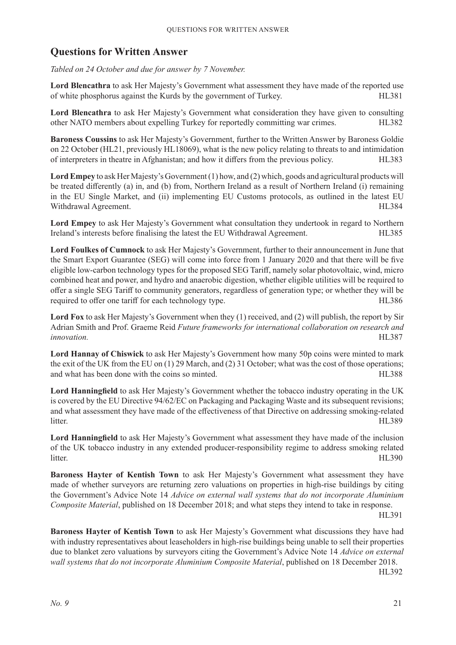### **Questions for Written Answer**

*Tabled on 24 October and due for answer by 7 November.*

**Lord Blencathra** to ask Her Majesty's Government what assessment they have made of the reported use of white phosphorus against the Kurds by the government of Turkey. HL381

**Lord Blencathra** to ask Her Majesty's Government what consideration they have given to consulting other NATO members about expelling Turkey for reportedly committing war crimes. HL382

**Baroness Coussins** to ask Her Majesty's Government, further to the Written Answer by Baroness Goldie on 22 October (HL21, previously HL18069), what is the new policy relating to threats to and intimidation of interpreters in theatre in Afghanistan; and how it differs from the previous policy. HL383

Lord Empey to ask Her Majesty's Government (1) how, and (2) which, goods and agricultural products will be treated differently (a) in, and (b) from, Northern Ireland as a result of Northern Ireland (i) remaining in the EU Single Market, and (ii) implementing EU Customs protocols, as outlined in the latest EU Withdrawal Agreement. The state of the state of the state of the state of the HL384

**Lord Empey** to ask Her Majesty's Government what consultation they undertook in regard to Northern Ireland's interests before finalising the latest the EU Withdrawal Agreement. HL385

**Lord Foulkes of Cumnock** to ask Her Majesty's Government, further to their announcement in June that the Smart Export Guarantee (SEG) will come into force from 1 January 2020 and that there will be five eligible low-carbon technology types for the proposed SEG Tariff, namely solar photovoltaic, wind, micro combined heat and power, and hydro and anaerobic digestion, whether eligible utilities will be required to offer a single SEG Tariff to community generators, regardless of generation type; or whether they will be required to offer one tariff for each technology type. HL386

**Lord Fox** to ask Her Majesty's Government when they (1) received, and (2) will publish, the report by Sir Adrian Smith and Prof. Graeme Reid *Future frameworks for international collaboration on research and innovation.* HL387

**Lord Hannay of Chiswick** to ask Her Majesty's Government how many 50p coins were minted to mark the exit of the UK from the EU on (1) 29 March, and (2) 31 October; what was the cost of those operations; and what has been done with the coins so minted. 
HL388

**Lord Hanningfield** to ask Her Majesty's Government whether the tobacco industry operating in the UK is covered by the EU Directive 94/62/EC on Packaging and Packaging Waste and its subsequent revisions; and what assessment they have made of the effectiveness of that Directive on addressing smoking-related litter. HL389

**Lord Hanningfield** to ask Her Majesty's Government what assessment they have made of the inclusion of the UK tobacco industry in any extended producer-responsibility regime to address smoking related litter. HL390

**Baroness Hayter of Kentish Town** to ask Her Majesty's Government what assessment they have made of whether surveyors are returning zero valuations on properties in high-rise buildings by citing the Government's Advice Note 14 *Advice on external wall systems that do not incorporate Aluminium Composite Material*, published on 18 December 2018; and what steps they intend to take in response.

HL391

**Baroness Hayter of Kentish Town** to ask Her Majesty's Government what discussions they have had with industry representatives about leaseholders in high-rise buildings being unable to sell their properties due to blanket zero valuations by surveyors citing the Government's Advice Note 14 *Advice on external*  wall systems that do not incorporate Aluminium Composite Material, published on 18 December 2018.

HL392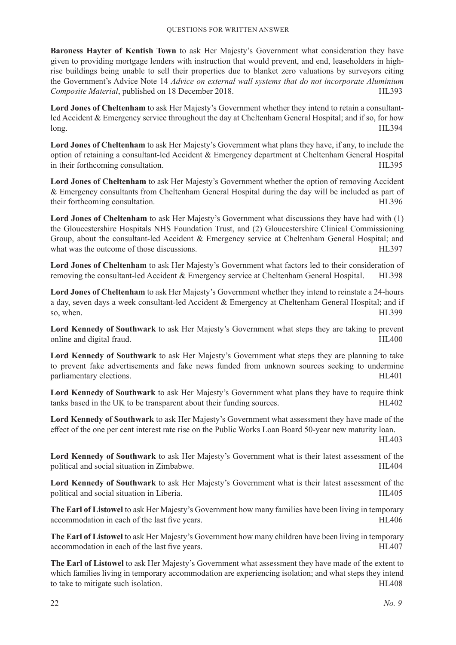**Baroness Hayter of Kentish Town** to ask Her Majesty's Government what consideration they have given to providing mortgage lenders with instruction that would prevent, and end, leaseholders in highrise buildings being unable to sell their properties due to blanket zero valuations by surveyors citing the Government's Advice Note 14 *Advice on external wall systems that do not incorporate Aluminium Composite Material*, published on 18 December 2018. 
HL393

**Lord Jones of Cheltenham** to ask Her Majesty's Government whether they intend to retain a consultantled Accident & Emergency service throughout the day at Cheltenham General Hospital; and if so, for how long. HL394

**Lord Jones of Cheltenham** to ask Her Majesty's Government what plans they have, if any, to include the option of retaining a consultant-led Accident & Emergency department at Cheltenham General Hospital in their forthcoming consultation. The state of the state of the state of the state of the state of the state of the state of the state of the state of the state of the state of the state of the state of the state of the s

**Lord Jones of Cheltenham** to ask Her Majesty's Government whether the option of removing Accident & Emergency consultants from Cheltenham General Hospital during the day will be included as part of their forthcoming consultation. The state of the state of the state of the state of the state of the state of the state of the state of the state of the state of the state of the state of the state of the state of the stat

**Lord Jones of Cheltenham** to ask Her Majesty's Government what discussions they have had with (1) the Gloucestershire Hospitals NHS Foundation Trust, and (2) Gloucestershire Clinical Commissioning Group, about the consultant-led Accident & Emergency service at Cheltenham General Hospital; and what was the outcome of those discussions. 
HL397

**Lord Jones of Cheltenham** to ask Her Majesty's Government what factors led to their consideration of removing the consultant-led Accident & Emergency service at Cheltenham General Hospital. HL398

**Lord Jones of Cheltenham** to ask Her Majesty's Government whether they intend to reinstate a 24-hours a day, seven days a week consultant-led Accident & Emergency at Cheltenham General Hospital; and if so, when. HL399

**Lord Kennedy of Southwark** to ask Her Majesty's Government what steps they are taking to prevent online and digital fraud. HL400

**Lord Kennedy of Southwark** to ask Her Majesty's Government what steps they are planning to take to prevent fake advertisements and fake news funded from unknown sources seeking to undermine parliamentary elections. HL401

**Lord Kennedy of Southwark** to ask Her Majesty's Government what plans they have to require think tanks based in the UK to be transparent about their funding sources. HL402

**Lord Kennedy of Southwark** to ask Her Majesty's Government what assessment they have made of the effect of the one per cent interest rate rise on the Public Works Loan Board 50-year new maturity loan.

HL403

**Lord Kennedy of Southwark** to ask Her Majesty's Government what is their latest assessment of the political and social situation in Zimbabwe. 
HL404

**Lord Kennedy of Southwark** to ask Her Majesty's Government what is their latest assessment of the political and social situation in Liberia.  $H L 405$ 

**The Earl of Listowel** to ask Her Majesty's Government how many families have been living in temporary accommodation in each of the last five years. HL406

**The Earl of Listowel** to ask Her Majesty's Government how many children have been living in temporary accommodation in each of the last five years. HL407

**The Earl of Listowel** to ask Her Majesty's Government what assessment they have made of the extent to which families living in temporary accommodation are experiencing isolation; and what steps they intend to take to mitigate such isolation. HL408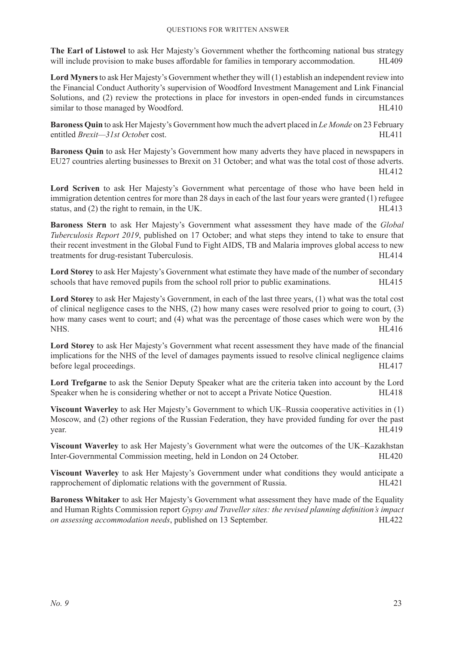**The Earl of Listowel** to ask Her Majesty's Government whether the forthcoming national bus strategy will include provision to make buses affordable for families in temporary accommodation. HL409

**Lord Myners** to ask Her Majesty's Government whether they will (1) establish an independent review into the Financial Conduct Authority's supervision of Woodford Investment Management and Link Financial Solutions, and (2) review the protections in place for investors in open-ended funds in circumstances similar to those managed by Woodford. The state of the state of the HL410

**Baroness Quin** to ask Her Majesty's Government how much the advert placed in *Le Monde* on 23 February entitled *Brexit—31st Octobe*r cost. HL411

**Baroness Quin** to ask Her Majesty's Government how many adverts they have placed in newspapers in EU27 countries alerting businesses to Brexit on 31 October; and what was the total cost of those adverts. HL412

**Lord Scriven** to ask Her Majesty's Government what percentage of those who have been held in immigration detention centres for more than 28 days in each of the last four years were granted (1) refugee status, and (2) the right to remain, in the UK. HL413

**Baroness Stern** to ask Her Majesty's Government what assessment they have made of the *Global Tuberculosis Report 2019*, published on 17 October; and what steps they intend to take to ensure that their recent investment in the Global Fund to Fight AIDS, TB and Malaria improves global access to new treatments for drug-resistant Tuberculosis. 
HL414

**Lord Storey** to ask Her Majesty's Government what estimate they have made of the number of secondary schools that have removed pupils from the school roll prior to public examinations. HL415

**Lord Storey** to ask Her Majesty's Government, in each of the last three years, (1) what was the total cost of clinical negligence cases to the NHS, (2) how many cases were resolved prior to going to court, (3) how many cases went to court; and (4) what was the percentage of those cases which were won by the NHS. HL416

**Lord Storey** to ask Her Majesty's Government what recent assessment they have made of the financial implications for the NHS of the level of damages payments issued to resolve clinical negligence claims before legal proceedings. HL417

**Lord Trefgarne** to ask the Senior Deputy Speaker what are the criteria taken into account by the Lord Speaker when he is considering whether or not to accept a Private Notice Question. HL418

**Viscount Waverley** to ask Her Majesty's Government to which UK–Russia cooperative activities in (1) Moscow, and (2) other regions of the Russian Federation, they have provided funding for over the past year. HL419

**Viscount Waverley** to ask Her Majesty's Government what were the outcomes of the UK–Kazakhstan Inter-Governmental Commission meeting, held in London on 24 October. HL420

**Viscount Waverley** to ask Her Majesty's Government under what conditions they would anticipate a rapprochement of diplomatic relations with the government of Russia. HL421

**Baroness Whitaker** to ask Her Majesty's Government what assessment they have made of the Equality and Human Rights Commission report *Gypsy and Traveller sites: the revised planning definition's impact on assessing accommodation needs*, published on 13 September. 
HL422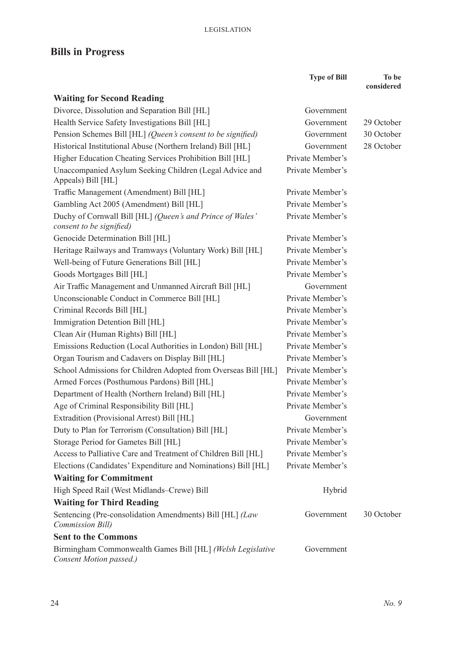## **Bills in Progress**

|                                                                                       | <b>Type of Bill</b> | To be<br>considered |
|---------------------------------------------------------------------------------------|---------------------|---------------------|
| <b>Waiting for Second Reading</b>                                                     |                     |                     |
| Divorce, Dissolution and Separation Bill [HL]                                         | Government          |                     |
| Health Service Safety Investigations Bill [HL]                                        | Government          | 29 October          |
| Pension Schemes Bill [HL] (Queen's consent to be signified)                           | Government          | 30 October          |
| Historical Institutional Abuse (Northern Ireland) Bill [HL]                           | Government          | 28 October          |
| Higher Education Cheating Services Prohibition Bill [HL]                              | Private Member's    |                     |
| Unaccompanied Asylum Seeking Children (Legal Advice and<br>Appeals) Bill [HL]         | Private Member's    |                     |
| Traffic Management (Amendment) Bill [HL]                                              | Private Member's    |                     |
| Gambling Act 2005 (Amendment) Bill [HL]                                               | Private Member's    |                     |
| Duchy of Cornwall Bill [HL] (Queen's and Prince of Wales'<br>consent to be signified) | Private Member's    |                     |
| Genocide Determination Bill [HL]                                                      | Private Member's    |                     |
| Heritage Railways and Tramways (Voluntary Work) Bill [HL]                             | Private Member's    |                     |
| Well-being of Future Generations Bill [HL]                                            | Private Member's    |                     |
| Goods Mortgages Bill [HL]                                                             | Private Member's    |                     |
| Air Traffic Management and Unmanned Aircraft Bill [HL]                                | Government          |                     |
| Unconscionable Conduct in Commerce Bill [HL]                                          | Private Member's    |                     |
| Criminal Records Bill [HL]                                                            | Private Member's    |                     |
| Immigration Detention Bill [HL]                                                       | Private Member's    |                     |
| Clean Air (Human Rights) Bill [HL]                                                    | Private Member's    |                     |
| Emissions Reduction (Local Authorities in London) Bill [HL]                           | Private Member's    |                     |
| Organ Tourism and Cadavers on Display Bill [HL]                                       | Private Member's    |                     |
| School Admissions for Children Adopted from Overseas Bill [HL]                        | Private Member's    |                     |
| Armed Forces (Posthumous Pardons) Bill [HL]                                           | Private Member's    |                     |
| Department of Health (Northern Ireland) Bill [HL]                                     | Private Member's    |                     |
| Age of Criminal Responsibility Bill [HL]                                              | Private Member's    |                     |
| Extradition (Provisional Arrest) Bill [HL]                                            | Government          |                     |
| Duty to Plan for Terrorism (Consultation) Bill [HL]                                   | Private Member's    |                     |
| Storage Period for Gametes Bill [HL]                                                  | Private Member's    |                     |
| Access to Palliative Care and Treatment of Children Bill [HL]                         | Private Member's    |                     |
| Elections (Candidates' Expenditure and Nominations) Bill [HL]                         | Private Member's    |                     |
| <b>Waiting for Commitment</b>                                                         |                     |                     |
| High Speed Rail (West Midlands-Crewe) Bill                                            | Hybrid              |                     |
| <b>Waiting for Third Reading</b>                                                      |                     |                     |
| Sentencing (Pre-consolidation Amendments) Bill [HL] (Law<br>Commission Bill)          | Government          | 30 October          |
| <b>Sent to the Commons</b>                                                            |                     |                     |
| Birmingham Commonwealth Games Bill [HL] (Welsh Legislative<br>Consent Motion passed.) | Government          |                     |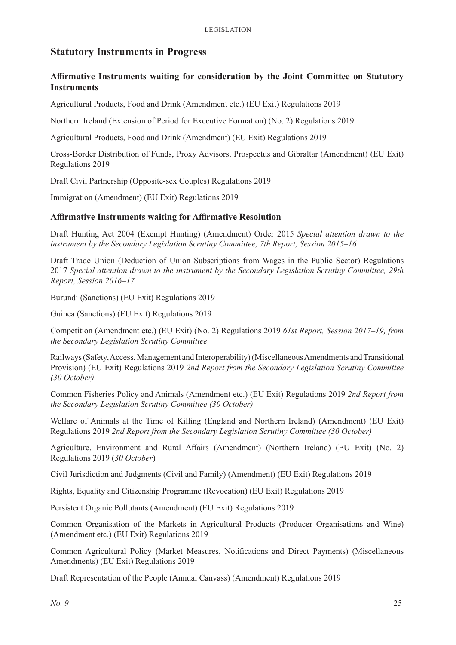### **Statutory Instruments in Progress**

#### **Affirmative Instruments waiting for consideration by the Joint Committee on Statutory Instruments**

Agricultural Products, Food and Drink (Amendment etc.) (EU Exit) Regulations 2019

Northern Ireland (Extension of Period for Executive Formation) (No. 2) Regulations 2019

Agricultural Products, Food and Drink (Amendment) (EU Exit) Regulations 2019

Cross-Border Distribution of Funds, Proxy Advisors, Prospectus and Gibraltar (Amendment) (EU Exit) Regulations 2019

Draft Civil Partnership (Opposite-sex Couples) Regulations 2019

Immigration (Amendment) (EU Exit) Regulations 2019

#### **Affirmative Instruments waiting for Affirmative Resolution**

Draft Hunting Act 2004 (Exempt Hunting) (Amendment) Order 2015 *Special attention drawn to the instrument by the Secondary Legislation Scrutiny Committee, 7th Report, Session 2015–16*

Draft Trade Union (Deduction of Union Subscriptions from Wages in the Public Sector) Regulations 2017 *Special attention drawn to the instrument by the Secondary Legislation Scrutiny Committee, 29th Report, Session 2016–17*

Burundi (Sanctions) (EU Exit) Regulations 2019

Guinea (Sanctions) (EU Exit) Regulations 2019

Competition (Amendment etc.) (EU Exit) (No. 2) Regulations 2019 *61st Report, Session 2017–19, from the Secondary Legislation Scrutiny Committee*

Railways (Safety, Access, Management and Interoperability) (Miscellaneous Amendments and Transitional Provision) (EU Exit) Regulations 2019 *2nd Report from the Secondary Legislation Scrutiny Committee (30 October)*

Common Fisheries Policy and Animals (Amendment etc.) (EU Exit) Regulations 2019 *2nd Report from the Secondary Legislation Scrutiny Committee (30 October)*

Welfare of Animals at the Time of Killing (England and Northern Ireland) (Amendment) (EU Exit) Regulations 2019 *2nd Report from the Secondary Legislation Scrutiny Committee (30 October)*

Agriculture, Environment and Rural Affairs (Amendment) (Northern Ireland) (EU Exit) (No. 2) Regulations 2019 (*30 October*)

Civil Jurisdiction and Judgments (Civil and Family) (Amendment) (EU Exit) Regulations 2019

Rights, Equality and Citizenship Programme (Revocation) (EU Exit) Regulations 2019

Persistent Organic Pollutants (Amendment) (EU Exit) Regulations 2019

Common Organisation of the Markets in Agricultural Products (Producer Organisations and Wine) (Amendment etc.) (EU Exit) Regulations 2019

Common Agricultural Policy (Market Measures, Notifications and Direct Payments) (Miscellaneous Amendments) (EU Exit) Regulations 2019

Draft Representation of the People (Annual Canvass) (Amendment) Regulations 2019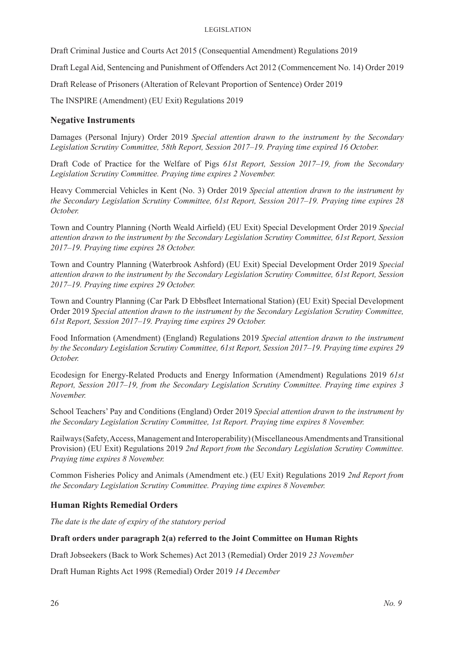#### Legislation

Draft Criminal Justice and Courts Act 2015 (Consequential Amendment) Regulations 2019

Draft Legal Aid, Sentencing and Punishment of Offenders Act 2012 (Commencement No. 14) Order 2019

Draft Release of Prisoners (Alteration of Relevant Proportion of Sentence) Order 2019

The INSPIRE (Amendment) (EU Exit) Regulations 2019

#### **Negative Instruments**

Damages (Personal Injury) Order 2019 *Special attention drawn to the instrument by the Secondary Legislation Scrutiny Committee, 58th Report, Session 2017–19. Praying time expired 16 October.* 

Draft Code of Practice for the Welfare of Pigs *61st Report, Session 2017–19, from the Secondary Legislation Scrutiny Committee. Praying time expires 2 November.* 

Heavy Commercial Vehicles in Kent (No. 3) Order 2019 *Special attention drawn to the instrument by the Secondary Legislation Scrutiny Committee, 61st Report, Session 2017–19. Praying time expires 28 October.* 

Town and Country Planning (North Weald Airfield) (EU Exit) Special Development Order 2019 *Special attention drawn to the instrument by the Secondary Legislation Scrutiny Committee, 61st Report, Session 2017–19. Praying time expires 28 October.* 

Town and Country Planning (Waterbrook Ashford) (EU Exit) Special Development Order 2019 *Special attention drawn to the instrument by the Secondary Legislation Scrutiny Committee, 61st Report, Session 2017–19. Praying time expires 29 October.* 

Town and Country Planning (Car Park D Ebbsfleet International Station) (EU Exit) Special Development Order 2019 *Special attention drawn to the instrument by the Secondary Legislation Scrutiny Committee, 61st Report, Session 2017–19. Praying time expires 29 October.* 

Food Information (Amendment) (England) Regulations 2019 *Special attention drawn to the instrument by the Secondary Legislation Scrutiny Committee, 61st Report, Session 2017–19. Praying time expires 29 October.* 

Ecodesign for Energy-Related Products and Energy Information (Amendment) Regulations 2019 *61st Report, Session 2017–19, from the Secondary Legislation Scrutiny Committee. Praying time expires 3 November.* 

School Teachers' Pay and Conditions (England) Order 2019 *Special attention drawn to the instrument by the Secondary Legislation Scrutiny Committee, 1st Report. Praying time expires 8 November.* 

Railways (Safety, Access, Management and Interoperability) (Miscellaneous Amendments and Transitional Provision) (EU Exit) Regulations 2019 *2nd Report from the Secondary Legislation Scrutiny Committee. Praying time expires 8 November.* 

Common Fisheries Policy and Animals (Amendment etc.) (EU Exit) Regulations 2019 *2nd Report from the Secondary Legislation Scrutiny Committee. Praying time expires 8 November.* 

#### **Human Rights Remedial Orders**

*The date is the date of expiry of the statutory period*

#### **Draft orders under paragraph 2(a) referred to the Joint Committee on Human Rights**

Draft Jobseekers (Back to Work Schemes) Act 2013 (Remedial) Order 2019 *23 November*

Draft Human Rights Act 1998 (Remedial) Order 2019 *14 December*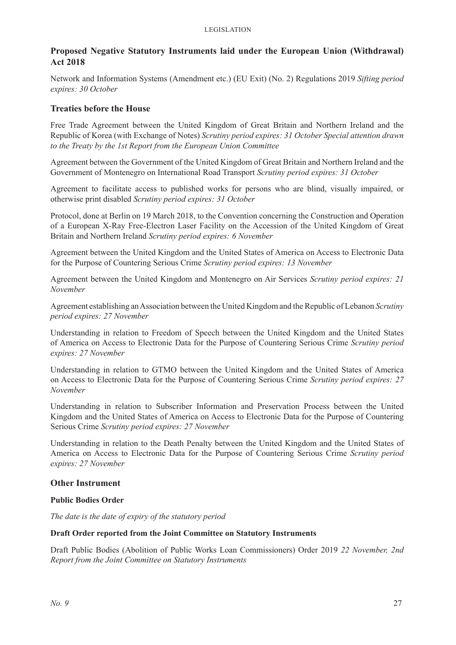#### **Proposed Negative Statutory Instruments laid under the European Union (Withdrawal) Act 2018**

Network and Information Systems (Amendment etc.) (EU Exit) (No. 2) Regulations 2019 *Sifting period expires: 30 October*

#### **Treaties before the House**

Free Trade Agreement between the United Kingdom of Great Britain and Northern Ireland and the Republic of Korea (with Exchange of Notes) *Scrutiny period expires: 31 October Special attention drawn to the Treaty by the 1st Report from the European Union Committee*

Agreement between the Government of the United Kingdom of Great Britain and Northern Ireland and the Government of Montenegro on International Road Transport *Scrutiny period expires: 31 October*

Agreement to facilitate access to published works for persons who are blind, visually impaired, or otherwise print disabled *Scrutiny period expires: 31 October*

Protocol, done at Berlin on 19 March 2018, to the Convention concerning the Construction and Operation of a European X-Ray Free-Electron Laser Facility on the Accession of the United Kingdom of Great Britain and Northern Ireland *Scrutiny period expires: 6 November*

Agreement between the United Kingdom and the United States of America on Access to Electronic Data for the Purpose of Countering Serious Crime *Scrutiny period expires: 13 November*

Agreement between the United Kingdom and Montenegro on Air Services *Scrutiny period expires: 21 November*

Agreement establishing an Association between the United Kingdom and the Republic of Lebanon *Scrutiny period expires: 27 November*

Understanding in relation to Freedom of Speech between the United Kingdom and the United States of America on Access to Electronic Data for the Purpose of Countering Serious Crime *Scrutiny period expires: 27 November*

Understanding in relation to GTMO between the United Kingdom and the United States of America on Access to Electronic Data for the Purpose of Countering Serious Crime *Scrutiny period expires: 27 November*

Understanding in relation to Subscriber Information and Preservation Process between the United Kingdom and the United States of America on Access to Electronic Data for the Purpose of Countering Serious Crime *Scrutiny period expires: 27 November*

Understanding in relation to the Death Penalty between the United Kingdom and the United States of America on Access to Electronic Data for the Purpose of Countering Serious Crime *Scrutiny period expires: 27 November*

#### **Other Instrument**

#### **Public Bodies Order**

*The date is the date of expiry of the statutory period*

#### **Draft Order reported from the Joint Committee on Statutory Instruments**

Draft Public Bodies (Abolition of Public Works Loan Commissioners) Order 2019 *22 November, 2nd Report from the Joint Committee on Statutory Instruments*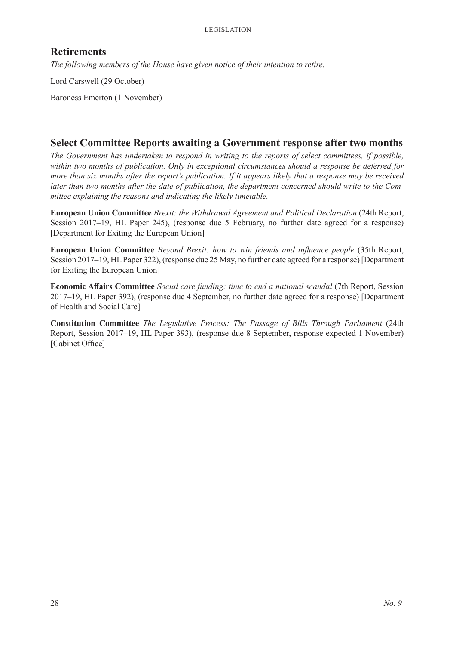### **Retirements**

*The following members of the House have given notice of their intention to retire.*

Lord Carswell (29 October)

Baroness Emerton (1 November)

### **Select Committee Reports awaiting a Government response after two months**

*The Government has undertaken to respond in writing to the reports of select committees, if possible, within two months of publication. Only in exceptional circumstances should a response be deferred for more than six months after the report's publication. If it appears likely that a response may be received later than two months after the date of publication, the department concerned should write to the Committee explaining the reasons and indicating the likely timetable.*

**European Union Committee** *Brexit: the Withdrawal Agreement and Political Declaration* (24th Report, Session 2017–19, HL Paper 245), (response due 5 February, no further date agreed for a response) [Department for Exiting the European Union]

**European Union Committee** *Beyond Brexit: how to win friends and influence people* (35th Report, Session 2017–19, HL Paper 322), (response due 25 May, no further date agreed for a response) [Department for Exiting the European Union]

**Economic Affairs Committee** *Social care funding: time to end a national scandal* (7th Report, Session 2017–19, HL Paper 392), (response due 4 September, no further date agreed for a response) [Department of Health and Social Care]

**Constitution Committee** *The Legislative Process: The Passage of Bills Through Parliament* (24th Report, Session 2017–19, HL Paper 393), (response due 8 September, response expected 1 November) [Cabinet Office]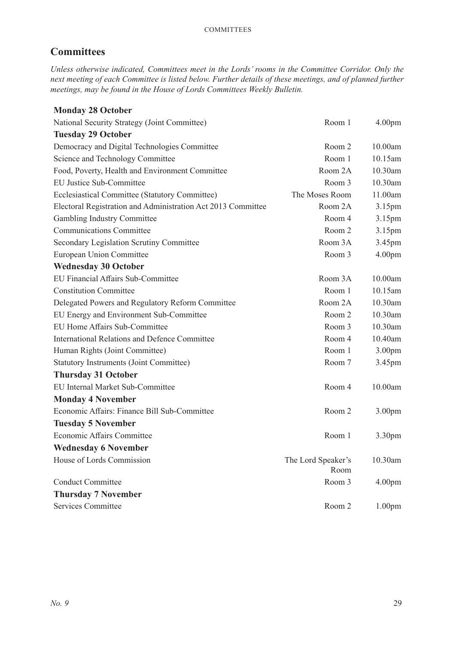### **Committees**

*Unless otherwise indicated, Committees meet in the Lords' rooms in the Committee Corridor. Only the next meeting of each Committee is listed below. Further details of these meetings, and of planned further meetings, may be found in the House of Lords Committees Weekly Bulletin.*

| <b>Monday 28 October</b>                                     |                            |                    |
|--------------------------------------------------------------|----------------------------|--------------------|
| National Security Strategy (Joint Committee)                 | Room 1                     | 4.00 <sub>pm</sub> |
| <b>Tuesday 29 October</b>                                    |                            |                    |
| Democracy and Digital Technologies Committee                 | Room 2                     | 10.00am            |
| Science and Technology Committee                             | Room 1                     | 10.15am            |
| Food, Poverty, Health and Environment Committee              | Room 2A                    | 10.30am            |
| <b>EU Justice Sub-Committee</b>                              | Room 3                     | 10.30am            |
| Ecclesiastical Committee (Statutory Committee)               | The Moses Room             | 11.00am            |
| Electoral Registration and Administration Act 2013 Committee | Room 2A                    | 3.15 <sub>pm</sub> |
| Gambling Industry Committee                                  | Room 4                     | 3.15pm             |
| <b>Communications Committee</b>                              | Room 2                     | 3.15pm             |
| Secondary Legislation Scrutiny Committee                     | Room 3A                    | 3.45pm             |
| <b>European Union Committee</b>                              | Room 3                     | 4.00 <sub>pm</sub> |
| <b>Wednesday 30 October</b>                                  |                            |                    |
| EU Financial Affairs Sub-Committee                           | Room 3A                    | 10.00am            |
| <b>Constitution Committee</b>                                | Room 1                     | 10.15am            |
| Delegated Powers and Regulatory Reform Committee             | Room 2A                    | 10.30am            |
| EU Energy and Environment Sub-Committee                      | Room 2                     | 10.30am            |
| EU Home Affairs Sub-Committee                                | Room 3                     | 10.30am            |
| <b>International Relations and Defence Committee</b>         | Room 4                     | 10.40am            |
| Human Rights (Joint Committee)                               | Room 1                     | 3.00 <sub>pm</sub> |
| <b>Statutory Instruments (Joint Committee)</b>               | Room 7                     | 3.45pm             |
| <b>Thursday 31 October</b>                                   |                            |                    |
| EU Internal Market Sub-Committee                             | Room 4                     | 10.00am            |
| <b>Monday 4 November</b>                                     |                            |                    |
| Economic Affairs: Finance Bill Sub-Committee                 | Room 2                     | 3.00 <sub>pm</sub> |
| <b>Tuesday 5 November</b>                                    |                            |                    |
| Economic Affairs Committee                                   | Room 1                     | 3.30 <sub>pm</sub> |
| <b>Wednesday 6 November</b>                                  |                            |                    |
| House of Lords Commission                                    | The Lord Speaker's<br>Room | 10.30am            |
| <b>Conduct Committee</b>                                     | Room 3                     | 4.00 <sub>pm</sub> |
| <b>Thursday 7 November</b>                                   |                            |                    |
| Services Committee                                           | Room 2                     | 1.00 <sub>pm</sub> |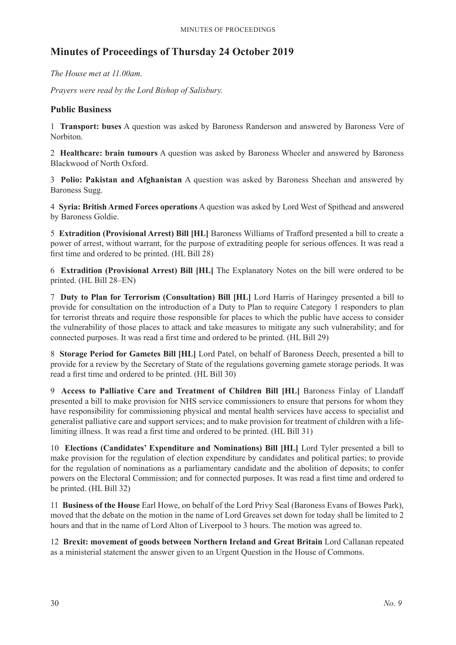### **Minutes of Proceedings of Thursday 24 October 2019**

*The House met at 11.00am.*

*Prayers were read by the Lord Bishop of Salisbury.*

#### **Public Business**

1 **Transport: buses** A question was asked by Baroness Randerson and answered by Baroness Vere of Norbiton.

2 **Healthcare: brain tumours** A question was asked by Baroness Wheeler and answered by Baroness Blackwood of North Oxford.

3 **Polio: Pakistan and Afghanistan** A question was asked by Baroness Sheehan and answered by Baroness Sugg.

4 **Syria: British Armed Forces operations** A question was asked by Lord West of Spithead and answered by Baroness Goldie.

5 **Extradition (Provisional Arrest) Bill [HL]** Baroness Williams of Trafford presented a bill to create a power of arrest, without warrant, for the purpose of extraditing people for serious offences. It was read a first time and ordered to be printed. (HL Bill 28)

6 **Extradition (Provisional Arrest) Bill [HL]** The Explanatory Notes on the bill were ordered to be printed. (HL Bill 28–EN)

7 **Duty to Plan for Terrorism (Consultation) Bill [HL]** Lord Harris of Haringey presented a bill to provide for consultation on the introduction of a Duty to Plan to require Category 1 responders to plan for terrorist threats and require those responsible for places to which the public have access to consider the vulnerability of those places to attack and take measures to mitigate any such vulnerability; and for connected purposes. It was read a first time and ordered to be printed. (HL Bill 29)

8 **Storage Period for Gametes Bill [HL]** Lord Patel, on behalf of Baroness Deech, presented a bill to provide for a review by the Secretary of State of the regulations governing gamete storage periods. It was read a first time and ordered to be printed. (HL Bill 30)

9 **Access to Palliative Care and Treatment of Children Bill [HL]** Baroness Finlay of Llandaff presented a bill to make provision for NHS service commissioners to ensure that persons for whom they have responsibility for commissioning physical and mental health services have access to specialist and generalist palliative care and support services; and to make provision for treatment of children with a lifelimiting illness. It was read a first time and ordered to be printed. (HL Bill 31)

10 **Elections (Candidates' Expenditure and Nominations) Bill [HL]** Lord Tyler presented a bill to make provision for the regulation of election expenditure by candidates and political parties; to provide for the regulation of nominations as a parliamentary candidate and the abolition of deposits; to confer powers on the Electoral Commission; and for connected purposes. It was read a first time and ordered to be printed. (HL Bill 32)

11 **Business of the House** Earl Howe, on behalf of the Lord Privy Seal (Baroness Evans of Bowes Park), moved that the debate on the motion in the name of Lord Greaves set down for today shall be limited to 2 hours and that in the name of Lord Alton of Liverpool to 3 hours. The motion was agreed to.

12 **Brexit: movement of goods between Northern Ireland and Great Britain** Lord Callanan repeated as a ministerial statement the answer given to an Urgent Question in the House of Commons.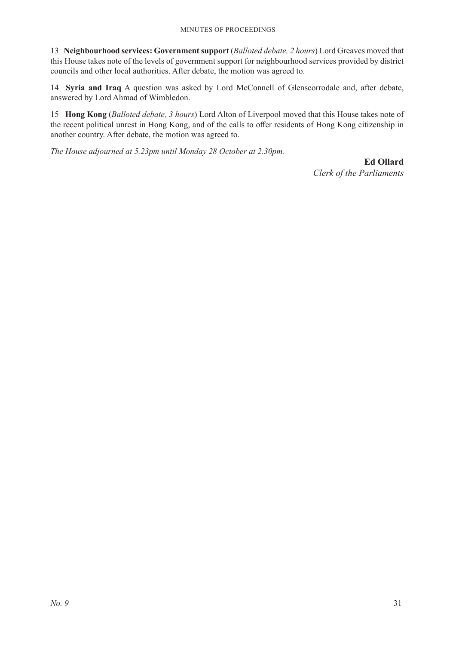#### Minutes of Proceedings

13 **Neighbourhood services: Government support** (*Balloted debate, 2 hours*) Lord Greaves moved that this House takes note of the levels of government support for neighbourhood services provided by district councils and other local authorities. After debate, the motion was agreed to.

14 **Syria and Iraq** A question was asked by Lord McConnell of Glenscorrodale and, after debate, answered by Lord Ahmad of Wimbledon.

15 **Hong Kong** (*Balloted debate, 3 hours*) Lord Alton of Liverpool moved that this House takes note of the recent political unrest in Hong Kong, and of the calls to offer residents of Hong Kong citizenship in another country. After debate, the motion was agreed to.

*The House adjourned at 5.23pm until Monday 28 October at 2.30pm.*

**Ed Ollard** *Clerk of the Parliaments*